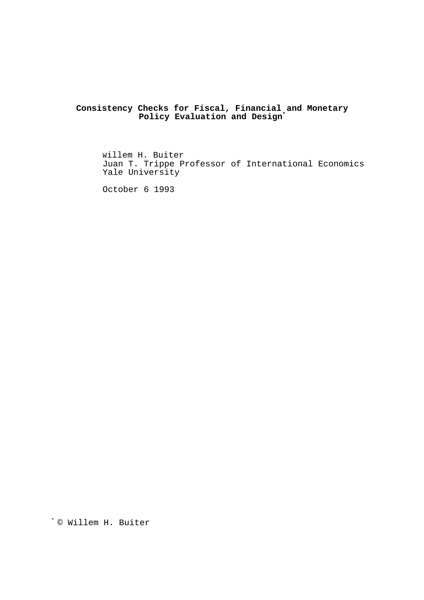**Consistency Checks for Fiscal, Financial and Monetary Policy Evaluation and Design\***

Willem H. Buiter Juan T. Trippe Professor of International Economics Yale University

October 6 1993

© Willem H. Buiter \*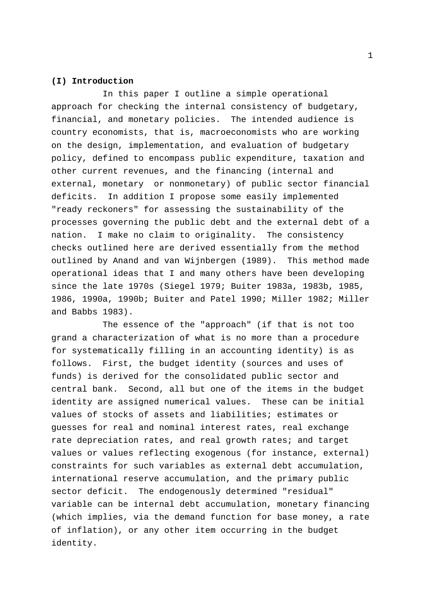### **(I) Introduction**

In this paper I outline a simple operational approach for checking the internal consistency of budgetary, financial, and monetary policies. The intended audience is country economists, that is, macroeconomists who are working on the design, implementation, and evaluation of budgetary policy, defined to encompass public expenditure, taxation and other current revenues, and the financing (internal and external, monetary or nonmonetary) of public sector financial deficits. In addition I propose some easily implemented "ready reckoners" for assessing the sustainability of the processes governing the public debt and the external debt of a nation. I make no claim to originality. The consistency checks outlined here are derived essentially from the method outlined by Anand and van Wijnbergen (1989). This method made operational ideas that I and many others have been developing since the late 1970s (Siegel 1979; Buiter 1983a, 1983b, 1985, 1986, 1990a, 1990b; Buiter and Patel 1990; Miller 1982; Miller and Babbs 1983).

The essence of the "approach" (if that is not too grand a characterization of what is no more than a procedure for systematically filling in an accounting identity) is as follows. First, the budget identity (sources and uses of funds) is derived for the consolidated public sector and central bank. Second, all but one of the items in the budget identity are assigned numerical values. These can be initial values of stocks of assets and liabilities; estimates or guesses for real and nominal interest rates, real exchange rate depreciation rates, and real growth rates; and target values or values reflecting exogenous (for instance, external) constraints for such variables as external debt accumulation, international reserve accumulation, and the primary public sector deficit. The endogenously determined "residual" variable can be internal debt accumulation, monetary financing (which implies, via the demand function for base money, a rate of inflation), or any other item occurring in the budget identity.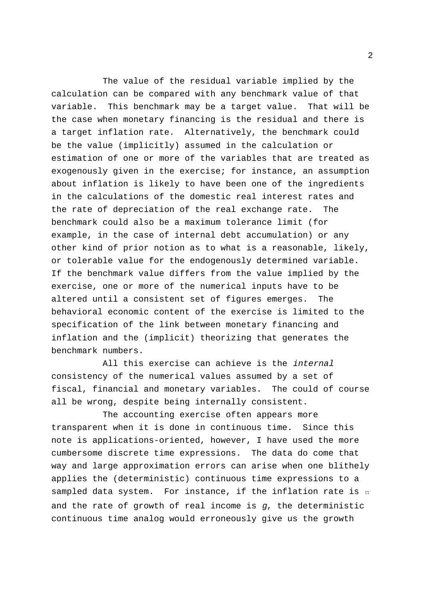The value of the residual variable implied by the calculation can be compared with any benchmark value of that variable. This benchmark may be a target value. That will be the case when monetary financing is the residual and there is a target inflation rate. Alternatively, the benchmark could be the value (implicitly) assumed in the calculation or estimation of one or more of the variables that are treated as exogenously given in the exercise; for instance, an assumption about inflation is likely to have been one of the ingredients in the calculations of the domestic real interest rates and the rate of depreciation of the real exchange rate. The benchmark could also be a maximum tolerance limit (for example, in the case of internal debt accumulation) or any other kind of prior notion as to what is a reasonable, likely, or tolerable value for the endogenously determined variable. If the benchmark value differs from the value implied by the exercise, one or more of the numerical inputs have to be altered until a consistent set of figures emerges. The behavioral economic content of the exercise is limited to the specification of the link between monetary financing and inflation and the (implicit) theorizing that generates the benchmark numbers.

All this exercise can achieve is the *internal* consistency of the numerical values assumed by a set of fiscal, financial and monetary variables. The could of course all be wrong, despite being internally consistent.

sampled data system. For instance, if the inflation rate is  $\scriptstyle\rm\scriptstyle\Pi$ The accounting exercise often appears more transparent when it is done in continuous time. Since this note is applications-oriented, however, I have used the more cumbersome discrete time expressions. The data do come that way and large approximation errors can arise when one blithely applies the (deterministic) continuous time expressions to a and the rate of growth of real income is  $q$ , the deterministic continuous time analog would erroneously give us the growth

2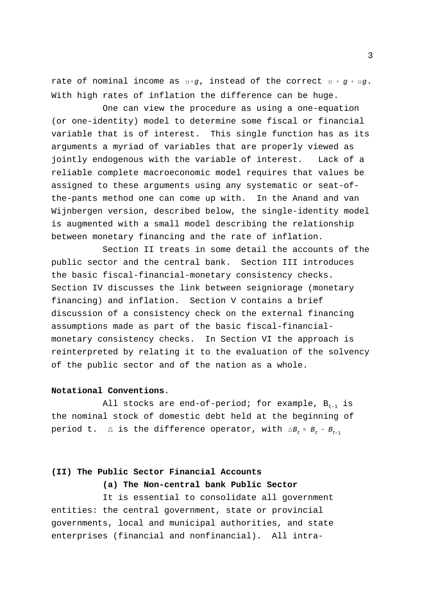rate of nominal income as  $\pi$ +g, instead of the correct  $\pi$  +  $g$  +  $\pi g$ . With high rates of inflation the difference can be huge.

One can view the procedure as using a one-equation (or one-identity) model to determine some fiscal or financial variable that is of interest. This single function has as its arguments a myriad of variables that are properly viewed as jointly endogenous with the variable of interest. Lack of a reliable complete macroeconomic model requires that values be assigned to these arguments using any systematic or seat-ofthe-pants method one can come up with. In the Anand and van Wijnbergen version, described below, the single-identity model is augmented with a small model describing the relationship between monetary financing and the rate of inflation.

Section II treats in some detail the accounts of the public sector and the central bank. Section III introduces the basic fiscal-financial-monetary consistency checks. Section IV discusses the link between seigniorage (monetary financing) and inflation. Section V contains a brief discussion of a consistency check on the external financing assumptions made as part of the basic fiscal-financialmonetary consistency checks. In Section VI the approach is reinterpreted by relating it to the evaluation of the solvency of the public sector and of the nation as a whole.

### **Notational Conventions**.

period t.  $\Delta$  is the difference operator, with  $\Delta B_t$  =  $B_t$  -  $B_{t-1}$ All stocks are end-of-period; for example,  $B_{t-1}$  is the nominal stock of domestic debt held at the beginning of

# **(II) The Public Sector Financial Accounts**

**(a) The Non-central bank Public Sector**

It is essential to consolidate all government entities: the central government, state or provincial governments, local and municipal authorities, and state enterprises (financial and nonfinancial). All intra3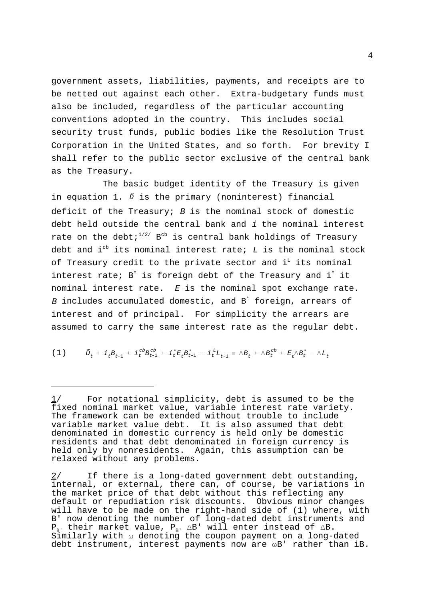government assets, liabilities, payments, and receipts are to be netted out against each other. Extra-budgetary funds must also be included, regardless of the particular accounting conventions adopted in the country. This includes social security trust funds, public bodies like the Resolution Trust Corporation in the United States, and so forth. For brevity I shall refer to the public sector exclusive of the central bank as the Treasury.

in equation 1.  $\tilde{D}$  is the primary (noninterest) financial The basic budget identity of the Treasury is given deficit of the Treasury;  $B$  is the nominal stock of domestic debt held outside the central bank and i the nominal interest rate on the debt;  $2^{2/2}$  B<sup>cb</sup> is central bank holdings of Treasury debt and i<sup>cb</sup> its nominal interest rate;  $L$  is the nominal stock of Treasury credit to the private sector and  $i<sup>L</sup>$  its nominal interest rate;  $B^*$  is foreign debt of the Treasury and i<sup>\*</sup> it nominal interest rate.  $E$  is the nominal spot exchange rate.  $B$  includes accumulated domestic, and  $B^*$  foreign, arrears of interest and of principal. For simplicity the arrears are assumed to carry the same interest rate as the regular debt.

(1) 
$$
\tilde{D}_t + i_t B_{t-1} + i_t^c B_{t-1} + i_t^t E_t B_{t-1}^* - i_t^t L_{t-1} = \Delta B_t + \Delta B_t^{cb} + E_t \Delta B_t^* - \Delta L_t
$$

For notational simplicity, debt is assumed to be the fixed nominal market value, variable interest rate variety. The framework can be extended without trouble to include variable market value debt. It is also assumed that debt denominated in domestic currency is held only be domestic residents and that debt denominated in foreign currency is held only by nonresidents. Again, this assumption can be relaxed without any problems.

<sup>2/</sup> If there is a long-dated government debt outstanding, internal, or external, there can, of course, be variations in the market price of that debt without this reflecting any default or repudiation risk discounts. Obvious minor changes will have to be made on the right-hand side of (1) where, with B' now denoting the number of long-dated debt instruments and  $P_B$ , their market value,  $P_B$ ,  $\triangle B$ ' will enter instead of  $\triangle B$ . Similarly with  $\omega$  denoting the coupon payment on a long-dated debt instrument, interest payments now are  $\omega B'$  rather than iB.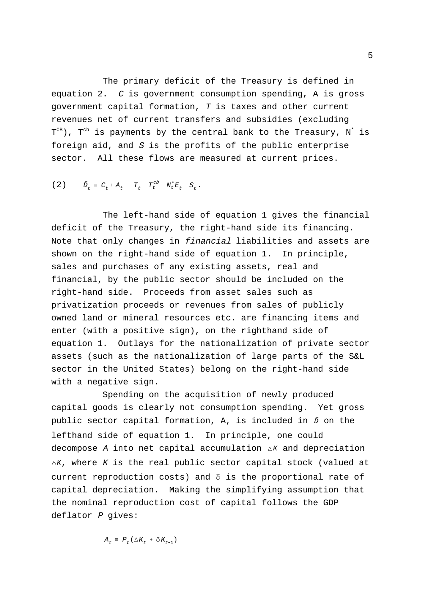The primary deficit of the Treasury is defined in equation 2.  $C$  is government consumption spending, A is gross government capital formation, T is taxes and other current revenues net of current transfers and subsidies (excluding  $T^{CB}$ ),  $T^{cb}$  is payments by the central bank to the Treasury,  $N^{*}$  is foreign aid, and  $S$  is the profits of the public enterprise sector. All these flows are measured at current prices.

(2) 
$$
\tilde{D}_t = C_t + A_t - T_t - T_t^{cb} - N_t^* E_t - S_t
$$
.

The left-hand side of equation 1 gives the financial deficit of the Treasury, the right-hand side its financing. Note that only changes in financial liabilities and assets are shown on the right-hand side of equation 1. In principle, sales and purchases of any existing assets, real and financial, by the public sector should be included on the right-hand side. Proceeds from asset sales such as privatization proceeds or revenues from sales of publicly owned land or mineral resources etc. are financing items and enter (with a positive sign), on the righthand side of equation 1. Outlays for the nationalization of private sector assets (such as the nationalization of large parts of the S&L sector in the United States) belong on the right-hand side with a negative sign.

public sector capital formation, A, is included in  $\tilde{\nu}$  on the decompose A into net capital accumulation  $\Delta K$  and depreciation  $\delta K$ , where K is the real public sector capital stock (valued at Spending on the acquisition of newly produced capital goods is clearly not consumption spending. Yet gross lefthand side of equation 1. In principle, one could current reproduction costs) and  $\delta$  is the proportional rate of capital depreciation. Making the simplifying assumption that the nominal reproduction cost of capital follows the GDP deflator *P* gives:

$$
A_t = P_t (\triangle K_t + \delta K_{t-1})
$$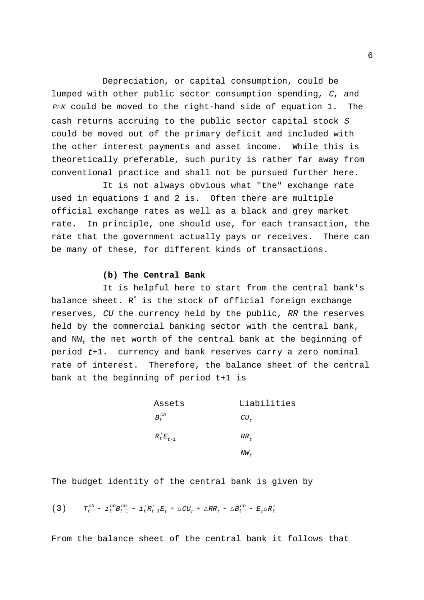$P\Delta K$  could be moved to the right-hand side of equation 1. The Depreciation, or capital consumption, could be lumped with other public sector consumption spending, C, and cash returns accruing to the public sector capital stock <sup>S</sup> could be moved out of the primary deficit and included with the other interest payments and asset income. While this is theoretically preferable, such purity is rather far away from conventional practice and shall not be pursued further here.

It is not always obvious what "the" exchange rate used in equations 1 and 2 is. Often there are multiple official exchange rates as well as a black and grey market rate. In principle, one should use, for each transaction, the rate that the government actually pays or receives. There can be many of these, for different kinds of transactions.

#### **(b) The Central Bank**

It is helpful here to start from the central bank's balance sheet.  $R^*$  is the stock of official foreign exchange reserves, CU the currency held by the public, RR the reserves held by the commercial banking sector with the central bank, and NW<sub>t</sub> the net worth of the central bank at the beginning of period t+1. currency and bank reserves carry a zero nominal rate of interest. Therefore, the balance sheet of the central bank at the beginning of period t+1 is

| <u>Assets</u>   | Liabilities |
|-----------------|-------------|
| $B_{t}^{cb}$    | $CU_{+}$    |
| $R_t^* E_{t+1}$ | $RR_{F}$    |
|                 | $NW_{-}$    |

The budget identity of the central bank is given by

 $T_t^{cb}$  -  $i_t^{cb}B_{t-1}^{cb}$  -  $i_t^{*}R_{t-1}^{*}E_t \equiv \triangle CU_t + \triangle RR_t$  -  $\triangle B_t^{cb}$  -  $E_t \triangle R_t^{*}$ (3)

From the balance sheet of the central bank it follows that

6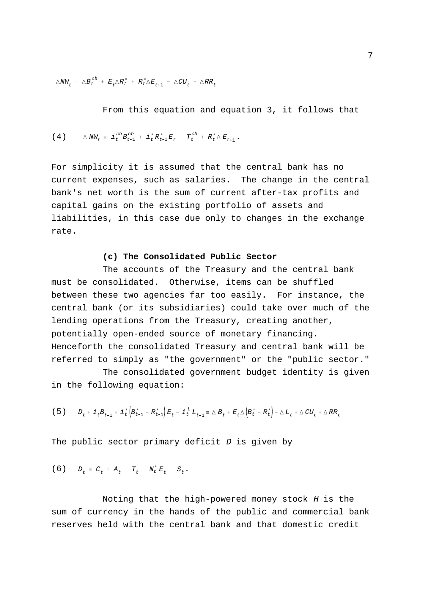$\triangle NN_t$  =  $\triangle B_t^{cb}$  +  $E_t \triangle R_t^*$  +  $R_t^* \triangle E_{t+1}$  -  $\triangle CU_t$  -  $\triangle RR_t$ 

From this equation and equation 3, it follows that

$$
(4) \qquad \triangle N W_t \equiv i_c^{cb} B_{t-1}^{cb} + i_c^* R_{t-1}^* E_t - T_t^{cb} + R_t^* \triangle E_{t+1}.
$$

For simplicity it is assumed that the central bank has no current expenses, such as salaries. The change in the central bank's net worth is the sum of current after-tax profits and capital gains on the existing portfolio of assets and liabilities, in this case due only to changes in the exchange rate.

### **(c) The Consolidated Public Sector**

The accounts of the Treasury and the central bank must be consolidated. Otherwise, items can be shuffled between these two agencies far too easily. For instance, the central bank (or its subsidiaries) could take over much of the lending operations from the Treasury, creating another, potentially open-ended source of monetary financing. Henceforth the consolidated Treasury and central bank will be referred to simply as "the government" or the "public sector."

The consolidated government budget identity is given in the following equation:

$$
(5) \qquad D_t + i_t B_{t-1} + i_t^* \left( B_{t-1}^* - R_{t-1}^* \right) E_t - i_t^L L_{t-1} = \Delta B_t + E_t \Delta \left( B_t^* - R_t^* \right) - \Delta L_t + \Delta C U_t + \Delta R R_t
$$

The public sector primary deficit  $D$  is given by

$$
(6) \t Dt = Ct + At - Tt - Nt* Et - St.
$$

Noting that the high-powered money stock  $H$  is the sum of currency in the hands of the public and commercial bank reserves held with the central bank and that domestic credit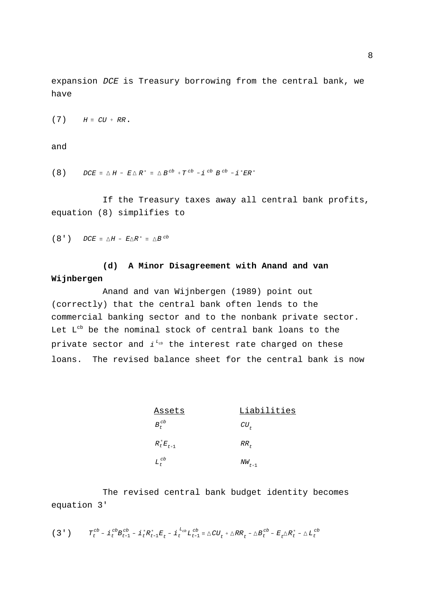expansion DCE is Treasury borrowing from the central bank, we have

$$
(7) \tH \equiv CU + RR.
$$

and

(8)  $DCE \equiv \triangle H - E \triangle R^* \equiv \triangle B^{cb} + T^{cb} - i^{cb} B^{cb} - i^{*}ER^*$ 

If the Treasury taxes away all central bank profits, equation (8) simplifies to

(8')  $DCE \equiv \triangle H - E\triangle R^* \equiv \triangle B^{cb}$ 

## **(d) A Minor Disagreement with Anand and van Wijnbergen**

private sector and  $i^{L_{cb}}$  the interest rate charged on these Anand and van Wijnbergen (1989) point out (correctly) that the central bank often lends to the commercial banking sector and to the nonbank private sector. Let  $L^{cb}$  be the nominal stock of central bank loans to the loans. The revised balance sheet for the central bank is now

| <u>Assets</u>   | Liabilities |
|-----------------|-------------|
| $B_t^{cb}$      | $CU_{+}$    |
| $R_t^* E_{t+1}$ | $RR_+$      |
| $L_t^{cb}$      | $NW_{t+1}$  |

The revised central bank budget identity becomes equation 3'

$$
(3\ \ )\qquad T_{t}^{cb} - \textbf{i}_{t}^{\ c b} B_{t-1}^{cb} - \textbf{i}_{t}^{\ *} R_{t-1}^{*} E_{t} - \textbf{i}_{t}^{\ L_{cb}} L_{t-1}^{cb} = \triangle C U_{t} + \triangle R R_{t} - \triangle B_{t}^{cb} - E_{t} \triangle R_{t}^{*} - \triangle L_{t}^{cb}
$$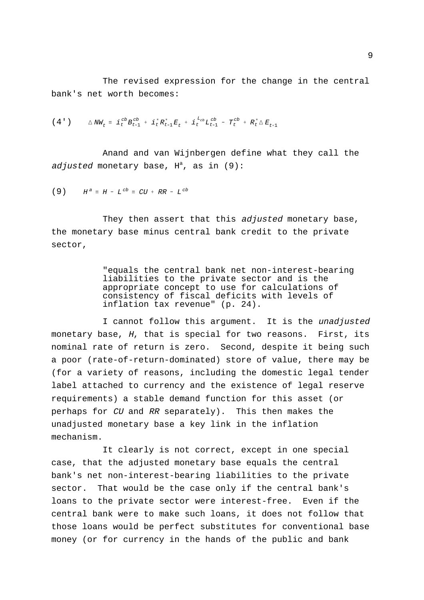The revised expression for the change in the central bank's net worth becomes:

$$
(4') \qquad \triangle N W_t = i_c^{cb} B_{t-1}^{cb} + i_t^* R_{t-1}^* E_t + i_t^{L_{cb}} L_{t-1}^{cb} - T_t^{cb} + R_t^* \triangle E_{t+1}
$$

Anand and van Wijnbergen define what they call the adjusted monetary base,  $H^a$ , as in (9):

$$
(9) \tH^a \equiv H - L^{cb} \equiv CU + RR - L^{cb}
$$

They then assert that this adjusted monetary base, the monetary base minus central bank credit to the private sector,

> "equals the central bank net non-interest-bearing liabilities to the private sector and is the appropriate concept to use for calculations of consistency of fiscal deficits with levels of inflation tax revenue" (p. 24).

I cannot follow this argument. It is the unadjusted monetary base, H, that is special for two reasons. First, its nominal rate of return is zero. Second, despite it being such a poor (rate-of-return-dominated) store of value, there may be (for a variety of reasons, including the domestic legal tender label attached to currency and the existence of legal reserve requirements) a stable demand function for this asset (or perhaps for CU and RR separately). This then makes the unadjusted monetary base a key link in the inflation mechanism.

It clearly is not correct, except in one special case, that the adjusted monetary base equals the central bank's net non-interest-bearing liabilities to the private sector. That would be the case only if the central bank's loans to the private sector were interest-free. Even if the central bank were to make such loans, it does not follow that those loans would be perfect substitutes for conventional base money (or for currency in the hands of the public and bank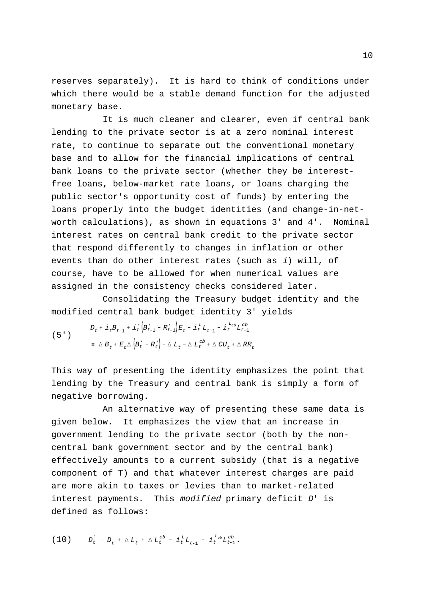reserves separately). It is hard to think of conditions under which there would be a stable demand function for the adjusted monetary base.

It is much cleaner and clearer, even if central bank lending to the private sector is at a zero nominal interest rate, to continue to separate out the conventional monetary base and to allow for the financial implications of central bank loans to the private sector (whether they be interestfree loans, below-market rate loans, or loans charging the public sector's opportunity cost of funds) by entering the loans properly into the budget identities (and change-in-networth calculations), as shown in equations 3' and 4'. Nominal interest rates on central bank credit to the private sector that respond differently to changes in inflation or other events than do other interest rates (such as i) will, of course, have to be allowed for when numerical values are assigned in the consistency checks considered later.

Consolidating the Treasury budget identity and the modified central bank budget identity 3' yields

<sup>D</sup>t <sup>i</sup><sup>t</sup> <sup>B</sup><sup>t</sup> <sup>1</sup> <sup>i</sup> <sup>t</sup> <sup>B</sup> <sup>t</sup> <sup>1</sup> <sup>R</sup> <sup>t</sup> <sup>1</sup> <sup>E</sup><sup>t</sup> <sup>i</sup><sup>L</sup> <sup>t</sup> <sup>L</sup><sup>t</sup> <sup>1</sup> <sup>i</sup><sup>L</sup>cb <sup>t</sup> <sup>L</sup>cb <sup>t</sup> <sup>1</sup> <sup>B</sup>t <sup>E</sup><sup>t</sup> <sup>B</sup> <sup>t</sup> <sup>R</sup> <sup>t</sup> <sup>L</sup><sup>t</sup> <sup>L</sup>cb <sup>t</sup>  CUt  RR<sup>t</sup> (5')

This way of presenting the identity emphasizes the point that lending by the Treasury and central bank is simply a form of negative borrowing.

An alternative way of presenting these same data is given below. It emphasizes the view that an increase in government lending to the private sector (both by the noncentral bank government sector and by the central bank) effectively amounts to a current subsidy (that is a negative component of T) and that whatever interest charges are paid are more akin to taxes or levies than to market-related interest payments. This modified primary deficit D' is defined as follows:

$$
(10) \t\t\t D_t^{\cdot} \equiv D_t + \Delta L_t + \Delta L_t^{cb} - i_t^{L} L_{t-1} - i_t^{L_{cb}} L_{t-1}^{cb}.
$$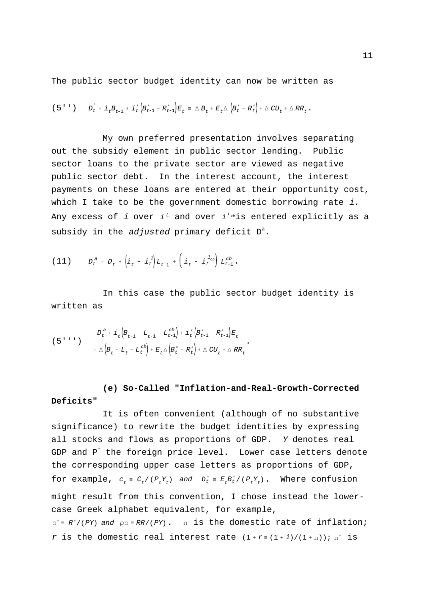The public sector budget identity can now be written as

$$
\left(\begin{array}{ccc}5 & ^t & ^t\\ \end{array}\right) \qquad D_{t}^{+} + \; \mathbf{i}_{t}B_{t-1}^{+} + \; \mathbf{i}_{t}^{*}\left(B_{t-1}^{*} - R_{t-1}^{*}\right)E_{t}^{+} \; \equiv \; \triangle\; B_{t}^{+} + E_{t}\triangle\left(B_{t}^{*} - R_{t}^{*}\right) + \; \triangle\; CU_{t}^{+} + \triangle\, RR_{t}^{-}.
$$

Any excess of  $i$  over  $i^{\,\scriptscriptstyle L}$  and over  $i^{\,\scriptscriptstyle L_{cb}}$ is entered explicitly as a My own preferred presentation involves separating out the subsidy element in public sector lending. Public sector loans to the private sector are viewed as negative public sector debt. In the interest account, the interest payments on these loans are entered at their opportunity cost, which I take to be the government domestic borrowing rate  $i$ . subsidy in the adjusted primary deficit  $D^{a}$ .

(11) 
$$
D_t^a = D_t + \left(i_t - i_t^l\right) L_{t-1} + \left(i_t - i_t^{l_{cb}}\right) L_{t-1}^c.
$$

In this case the public sector budget identity is written as

$$
(5''') \qquad D_t^{a} + i_t (B_{t-1} - L_{t-1} - L_{t-1}^{cb}) + i_t (B_{t-1}^{*} - R_{t-1}^{*}) E_t
$$
  

$$
= \Delta (B_t - L_t - L_t^{cb}) + E_t \Delta (B_t^{*} - R_t^{*}) + \Delta C U_t + \Delta R R_t
$$

## **(e) So-Called "Inflation-and-Real-Growth-Corrected Deficits"**

for example,  $c_t \equiv C_t / (P_t Y_t)$  and  $b_t^* \equiv E_t B_t^* / (P_t Y_t)$ . Where confusion  $p^* \equiv R^* / (PY)$  and  $p \rho \equiv RR / (PY)$ .  $\pi$  is the domestic rate of inflation; r is the domestic real interest rate  $(1 + r = (1 + i)/(1 + \pi))$ ;  $\pi^*$  is It is often convenient (although of no substantive significance) to rewrite the budget identities by expressing all stocks and flows as proportions of GDP. Y denotes real GDP and  $P^*$  the foreign price level. Lower case letters denote the corresponding upper case letters as proportions of GDP, might result from this convention, I chose instead the lowercase Greek alphabet equivalent, for example,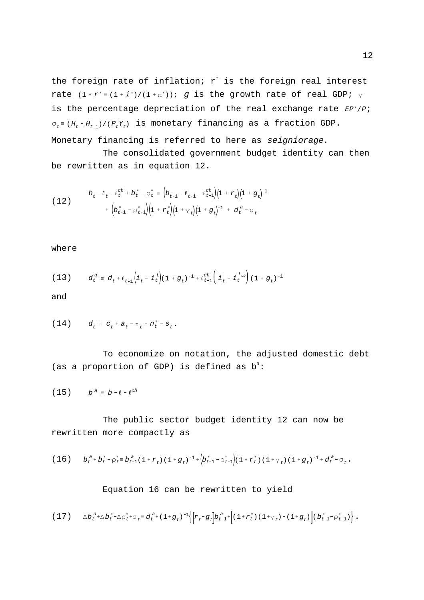rate  $(1 + r^* \equiv (1 + i^*)/(1 + \pi^*))$ ; g is the growth rate of real GDP;  $\gamma$ is the percentage depreciation of the real exchange rate  $EP^*/P$ ;  $\sigma_t$  =  $(H_t$  -  $H_{t-1})$  /( $P_tY_t$ ) is monetary financing as a fraction GDP. the foreign rate of inflation;  $r^*$  is the foreign real interest Monetary financing is referred to here as seigniorage.

The consolidated government budget identity can then be rewritten as in equation 12.

(12) 
$$
b_{t} - \ell_{t} - \ell_{t}^{cb} + b_{t}^{*} - \rho_{t}^{*} = \left(b_{t-1} - \ell_{t-1} - \ell_{t-1}^{cb}\right)\left(1 + r_{t}\right)\left(1 + g_{t}\right)^{-1} + \left(b_{t-1}^{*} - \rho_{t-1}^{*}\right)\left(1 + r_{t}\right)\left(1 + \gamma_{t}\right)\left(1 + g_{t}\right)^{-1} + d_{t}^{a} - \sigma_{t}
$$

where

(13) 
$$
d_t^a = d_t + l_{t-1} \left( i_t - i_t^L \right) (1 + g_t)^{-1} + l_{t-1}^{cb} \left( i_t - i_t^L \right) (1 + g_t)^{-1}
$$

and

(14) 
$$
d_t = c_t + a_t - \tau_t - n_t^* - s_t.
$$

To economize on notation, the adjusted domestic debt (as a proportion of GDP) is defined as  $b^a$ :

$$
(15) \t b^a \equiv b - l - l^{cb}
$$

The public sector budget identity 12 can now be rewritten more compactly as

$$
(16) \t b_t^a + b_t^* - \rho_t^* \equiv b_{t-1}^a (1 + r_t) (1 + g_t)^{-1} + (b_{t-1}^* - \rho_{t-1}^*) (1 + r_t^*) (1 + \gamma_t) (1 + g_t)^{-1} + d_t^a - \sigma_t.
$$

## Equation 16 can be rewritten to yield

$$
(17) \qquad \triangle b_{t}^{a} + \triangle b_{t}^{*} - \triangle \rho_{t}^{*} + \sigma_{t} \equiv d_{t}^{a} + (1+g_{t})^{-1} \Big\{ \Big[ r_{t} - g_{t} \Big] b_{t-1}^{a} + \Big[ (1+r_{t}^{*}) \left( 1 + \gamma_{t} \right) - (1+g_{t}) \Big] \Big( b_{t-1}^{*} - \rho_{t-1}^{*} \Big) \Big\} ~.
$$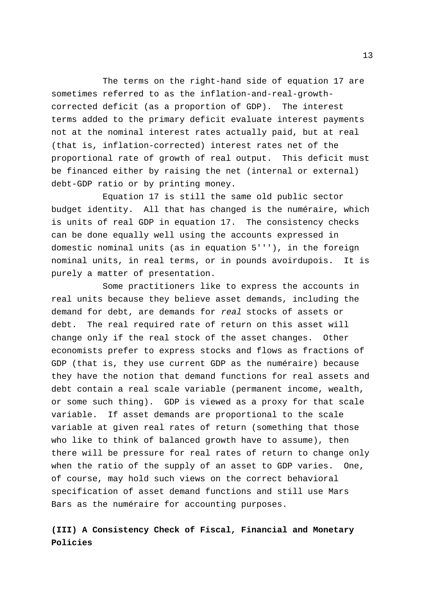The terms on the right-hand side of equation 17 are sometimes referred to as the inflation-and-real-growthcorrected deficit (as a proportion of GDP). The interest terms added to the primary deficit evaluate interest payments not at the nominal interest rates actually paid, but at real (that is, inflation-corrected) interest rates net of the proportional rate of growth of real output. This deficit must be financed either by raising the net (internal or external) debt-GDP ratio or by printing money.

Equation 17 is still the same old public sector budget identity. All that has changed is the numéraire, which is units of real GDP in equation 17. The consistency checks can be done equally well using the accounts expressed in domestic nominal units (as in equation 5'''), in the foreign nominal units, in real terms, or in pounds avoirdupois. It is purely a matter of presentation.

Some practitioners like to express the accounts in real units because they believe asset demands, including the demand for debt, are demands for real stocks of assets or debt. The real required rate of return on this asset will change only if the real stock of the asset changes. Other economists prefer to express stocks and flows as fractions of GDP (that is, they use current GDP as the numéraire) because they have the notion that demand functions for real assets and debt contain a real scale variable (permanent income, wealth, or some such thing). GDP is viewed as a proxy for that scale variable. If asset demands are proportional to the scale variable at given real rates of return (something that those who like to think of balanced growth have to assume), then there will be pressure for real rates of return to change only when the ratio of the supply of an asset to GDP varies. One, of course, may hold such views on the correct behavioral specification of asset demand functions and still use Mars Bars as the numéraire for accounting purposes.

## **(III) A Consistency Check of Fiscal, Financial and Monetary Policies**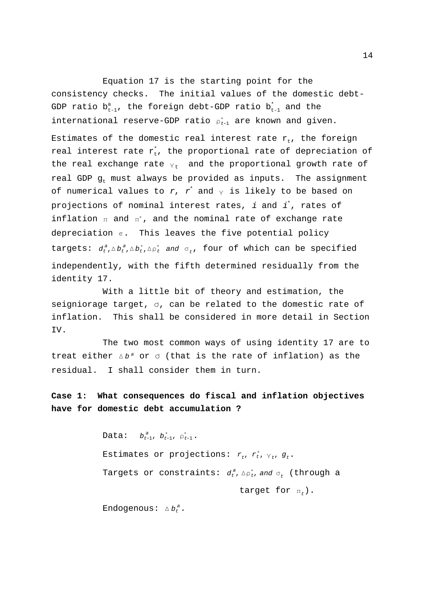international reserve-GDP ratio  $\rho_{t\text{-}1}^{*}$  are known and given. the real exchange rate  $\gamma_{\rm t}$  and the proportional growth rate of of numerical values to  $r$ ,  $r^{^*}$  and  $_{\rm Y}$  is likely to be based on inflation  $\pi$  and  $\pi^*$ , and the nominal rate of exchange rate depreciation  $\epsilon$ . This leaves the five potential policy targets:  $d_t^a$ , $\Delta b_t^a$ , $\Delta b_t^*$ , $\Delta \rho_t^*$  and  $\sigma_t$ , four of which can be specified Equation 17 is the starting point for the consistency checks. The initial values of the domestic debt-GDP ratio  $b_{t-1}^a$ , the foreign debt-GDP ratio  $b_{t-1}^*$  and the Estimates of the domestic real interest rate  $r_t$ , the foreign real interest rate  $r_{\rm t}^*$ , the proportional rate of depreciation of real GDP  $g_t$  must always be provided as inputs. The assignment projections of nominal interest rates,  $i$  and  $i^*$ , rates of independently, with the fifth determined residually from the identity 17.

With a little bit of theory and estimation, the seigniorage target,  $\sigma$ , can be related to the domestic rate of inflation. This shall be considered in more detail in Section IV.

treat either  $\Delta b^a$  or  $\sigma$  (that is the rate of inflation) as the The two most common ways of using identity 17 are to residual. I shall consider them in turn.

**Case 1: What consequences do fiscal and inflation objectives have for domestic debt accumulation ?**

> Data:  $b_{t-1}^a$ ,  $b_{t-1}^*$ ,  $\rho_{t-1}^*$ . Estimates or projections:  $r_t$ ,  $r_t^*$ ,  $\gamma_t$ ,  $g_t$ . Targets or constraints:  $d^{\,a}_{t}$ ,  $_{\Lambda \,\mathsf{p}_{t}^{\,*}}$ , and  $_{\sigma_{t}^{\phantom{\dag}}}$  (through a target for  $\pi_t$ ). Endogenous:  $\Delta b_t^a$ .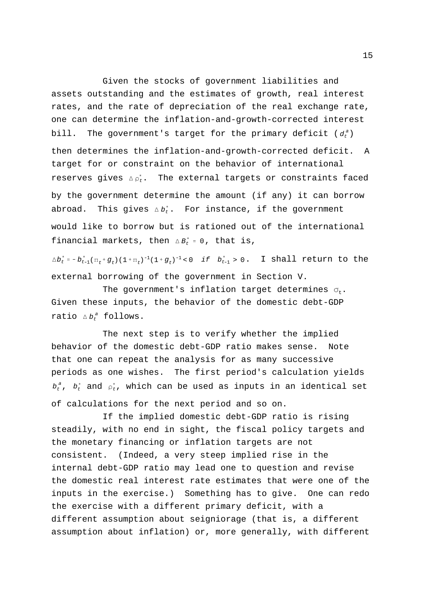bill. The government's target for the primary deficit ( $d_t^a$ ) reserves gives  $\Delta \rho_t^*$ . The external targets or constraints faced abroad. This gives  $\vartriangle b_t^*$ . For instance, if the government financial markets, then  $\Delta B_t^* = 0$ , that is, Given the stocks of government liabilities and assets outstanding and the estimates of growth, real interest rates, and the rate of depreciation of the real exchange rate, one can determine the inflation-and-growth-corrected interest then determines the inflation-and-growth-corrected deficit. A target for or constraint on the behavior of international by the government determine the amount (if any) it can borrow would like to borrow but is rationed out of the international

 $\Delta b_t^*$  =  $-b_{t-1}^*(\pi_t+g_t)(1+\pi_t)^{-1}(1+g_t)^{-1}$ <0 if  $b_{t-1}^* > 0$ . I shall return to the external borrowing of the government in Section V.

ratio  $\Delta b_t^a$  follows. The government's inflation target determines  $\sigma_t$ . Given these inputs, the behavior of the domestic debt-GDP

 $b_t^{\ a},\ \ b_t^{\ast}$  and  $\ _{\triangleright\ t}^{\ast},$  which can be used as inputs in an identical set The next step is to verify whether the implied behavior of the domestic debt-GDP ratio makes sense. Note that one can repeat the analysis for as many successive periods as one wishes. The first period's calculation yields of calculations for the next period and so on.

If the implied domestic debt-GDP ratio is rising steadily, with no end in sight, the fiscal policy targets and the monetary financing or inflation targets are not consistent. (Indeed, a very steep implied rise in the internal debt-GDP ratio may lead one to question and revise the domestic real interest rate estimates that were one of the inputs in the exercise.) Something has to give. One can redo the exercise with a different primary deficit, with a different assumption about seigniorage (that is, a different assumption about inflation) or, more generally, with different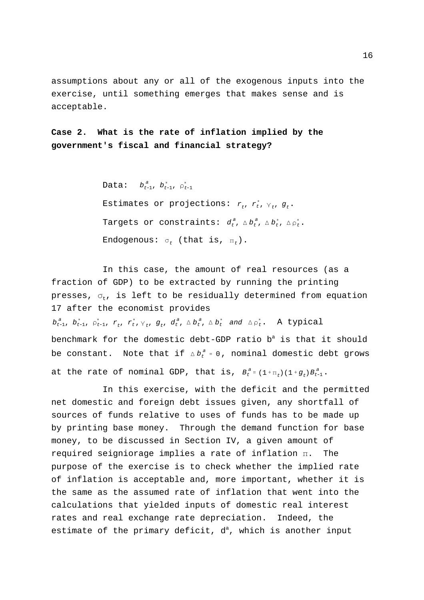assumptions about any or all of the exogenous inputs into the exercise, until something emerges that makes sense and is acceptable.

**Case 2. What is the rate of inflation implied by the government's fiscal and financial strategy?**

> Data:  $b_{t-1}^a$ ,  $b_{t-1}^*$ ,  $\rho_{t-1}^*$ Estimates or projections:  $r_t$ ,  $r_t^*$ ,  $\gamma_t$ ,  $g_t$ . Targets or constraints:  $d_t^a$ ,  $\Delta b_t^a$ ,  $\Delta b_t^*,$   $\Delta \rho_t^*$ . Endogenous:  $\sigma_t$  (that is,  $\pi_t$ ).

 $b_{t-1}^a$ ,  $b_{t-1}^a$ ,  $\rho_{t-1}^a$ ,  $r_t$ ,  $r_t^*$ ,  $\gamma_t$ ,  $g_t$ ,  $d_t^a$ ,  $\Delta b_t^a$ ,  $\Delta b_t^*$  and  $\Delta \rho_t^*$ . A typical be constant. Note that if  $\vartriangle b_{t}^{a}$  = 0, nominal domestic debt grows at the rate of nominal GDP, that is,  $B_t^a = (1 + \pi_t) (1 + g_t) B_{t-1}^a$ . In this case, the amount of real resources (as a fraction of GDP) to be extracted by running the printing presses,  $\sigma_{t}$ , is left to be residually determined from equation 17 after the economist provides benchmark for the domestic debt-GDP ratio  $b^a$  is that it should

In this exercise, with the deficit and the permitted net domestic and foreign debt issues given, any shortfall of sources of funds relative to uses of funds has to be made up by printing base money. Through the demand function for base money, to be discussed in Section IV, a given amount of required seigniorage implies a rate of inflation  $\pi$ . The purpose of the exercise is to check whether the implied rate of inflation is acceptable and, more important, whether it is the same as the assumed rate of inflation that went into the calculations that yielded inputs of domestic real interest rates and real exchange rate depreciation. Indeed, the estimate of the primary deficit,  $d^a$ , which is another input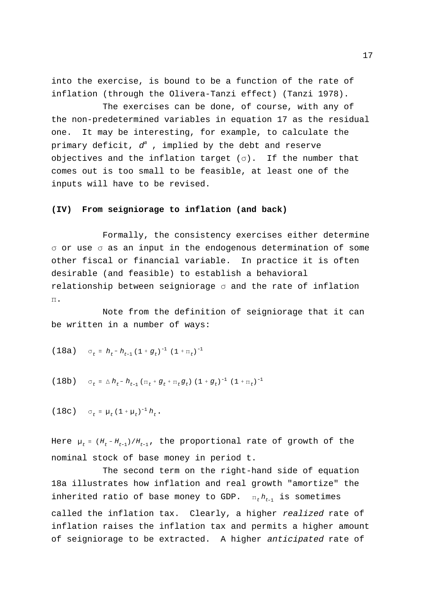into the exercise, is bound to be a function of the rate of inflation (through the Olivera-Tanzi effect) (Tanzi 1978).

The exercises can be done, of course, with any of the non-predetermined variables in equation 17 as the residual one. It may be interesting, for example, to calculate the primary deficit,  $d^a$ , implied by the debt and reserve objectives and the inflation target  $(\sigma)$ . If the number that comes out is too small to be feasible, at least one of the inputs will have to be revised.

#### **(IV) From seigniorage to inflation (and back)**

Formally, the consistency exercises either determine  $\sigma$  or use  $\sigma$  as an input in the endogenous determination of some other fiscal or financial variable. In practice it is often desirable (and feasible) to establish a behavioral relationship between seigniorage  $\sigma$  and the rate of inflation  $\Pi$  .

Note from the definition of seigniorage that it can be written in a number of ways:

(18a) 
$$
\sigma_t = h_t - h_{t-1} (1 + g_t)^{-1} (1 + \pi_t)^{-1}
$$

(18b) 
$$
\sigma_t = \Delta h_t - h_{t-1} (\pi_t + g_t + \pi_t g_t) (1 + g_t)^{-1} (1 + \pi_t)^{-1}
$$

(18c)  $\sigma_t = \mu_t (1 + \mu_t)^{-1} h_t$ .

Here  $\mu_t$  =  $(H_t$ - $H_{t-1})/H_{t-1}$ , the proportional rate of growth of the nominal stock of base money in period t.

inherited ratio of base money to GDP.  $\pi_t h_{t-1}$  is sometimes The second term on the right-hand side of equation 18a illustrates how inflation and real growth "amortize" the called the inflation tax. Clearly, a higher realized rate of inflation raises the inflation tax and permits a higher amount of seigniorage to be extracted. A higher anticipated rate of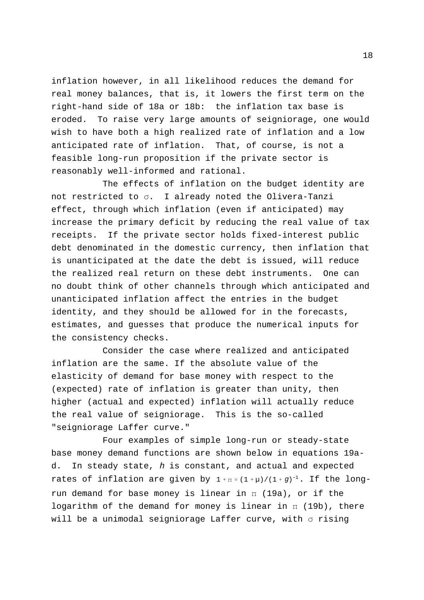inflation however, in all likelihood reduces the demand for real money balances, that is, it lowers the first term on the right-hand side of 18a or 18b: the inflation tax base is eroded. To raise very large amounts of seigniorage, one would wish to have both a high realized rate of inflation and a low anticipated rate of inflation. That, of course, is not a feasible long-run proposition if the private sector is reasonably well-informed and rational.

The effects of inflation on the budget identity are not restricted to  $\sigma$ . I already noted the Olivera-Tanzi effect, through which inflation (even if anticipated) may increase the primary deficit by reducing the real value of tax receipts. If the private sector holds fixed-interest public debt denominated in the domestic currency, then inflation that is unanticipated at the date the debt is issued, will reduce the realized real return on these debt instruments. One can no doubt think of other channels through which anticipated and unanticipated inflation affect the entries in the budget identity, and they should be allowed for in the forecasts, estimates, and guesses that produce the numerical inputs for the consistency checks.

Consider the case where realized and anticipated inflation are the same. If the absolute value of the elasticity of demand for base money with respect to the (expected) rate of inflation is greater than unity, then higher (actual and expected) inflation will actually reduce the real value of seigniorage. This is the so-called "seigniorage Laffer curve."

rates of inflation are given by  $1+\pi$  =  $(1+\mu)/(1+g)^{-1}$ . If the long-Four examples of simple long-run or steady-state base money demand functions are shown below in equations 19ad. In steady state, h is constant, and actual and expected run demand for base money is linear in  $\pi$  (19a), or if the logarithm of the demand for money is linear in  $\pi$  (19b), there will be a unimodal seigniorage Laffer curve, with  $\sigma$  rising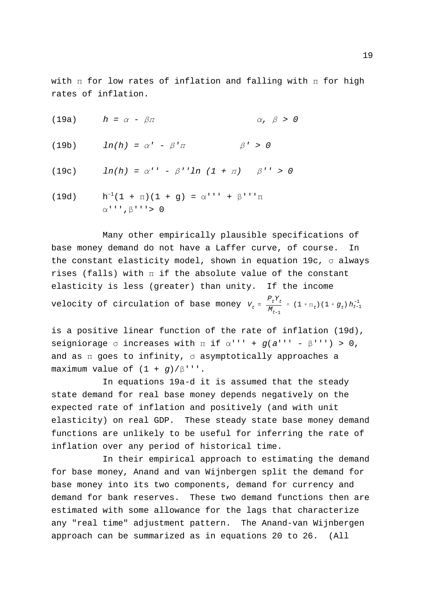with  $\pi$  for low rates of inflation and falling with  $\pi$  for high rates of inflation.

|       | (19a) $h = \alpha - \beta \pi$                                                                         | $\alpha$ , $\beta > 0$ |
|-------|--------------------------------------------------------------------------------------------------------|------------------------|
| (19b) | $ln(h) = \alpha' - \beta' \pi$                                                                         | $\beta' > 0$           |
| (19c) | $\ln(h) = \alpha^{\prime \prime} - \beta^{\prime \prime} \ln(1 + \pi) \quad \beta^{\prime \prime} > 0$ |                        |
| (19d) | $h^{-1}(1 + \pi)(1 + g) = \alpha'$ '' + $\beta'$ '' $\pi$<br>$\alpha$ ''', $\beta$ '''> 0              |                        |

 $V_t = \frac{P_t Y_t}{M}$  $M_{t-1}$ velocity of circulation of base money  $V_t = \frac{P_t Y_t}{M} = (1 + \pi_t) (1 + g_t) h_{t-1}^{-1}$ Many other empirically plausible specifications of base money demand do not have a Laffer curve, of course. In the constant elasticity model, shown in equation 19c,  $\sigma$  always rises (falls) with  $\pi$  if the absolute value of the constant elasticity is less (greater) than unity. If the income

is a positive linear function of the rate of inflation (19d), seigniorage  $\sigma$  increases with  $\pi$  if  $\alpha'$ '' +  $g(a'$ '' -  $\beta'$ ''') > 0, and as  $\pi$  goes to infinity,  $\sigma$  asymptotically approaches a maximum value of  $(1 + g)/\beta'$ ''.

In equations 19a-d it is assumed that the steady state demand for real base money depends negatively on the expected rate of inflation and positively (and with unit elasticity) on real GDP. These steady state base money demand functions are unlikely to be useful for inferring the rate of inflation over any period of historical time.

In their empirical approach to estimating the demand for base money, Anand and van Wijnbergen split the demand for base money into its two components, demand for currency and demand for bank reserves. These two demand functions then are estimated with some allowance for the lags that characterize any "real time" adjustment pattern. The Anand-van Wijnbergen approach can be summarized as in equations 20 to 26. (All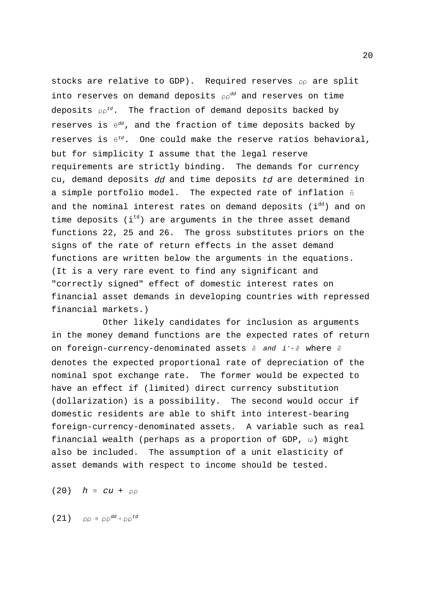stocks are relative to GDP). Required reserves pp are split into reserves on demand deposits  $\rho \rho^{dd}$  and reserves on time deposits  $\rho \rho^{td}$ . The fraction of demand deposits backed by reserves is  $\theta^{dd}$ , and the fraction of time deposits backed by reserves is  $\theta^{td}$ . One could make the reserve ratios behavioral, a simple portfolio model. The expected rate of inflation fi but for simplicity I assume that the legal reserve requirements are strictly binding. The demands for currency cu, demand deposits dd and time deposits td are determined in and the nominal interest rates on demand deposits  $(i^{dd})$  and on time deposits ( $i<sup>td</sup>$ ) are arguments in the three asset demand functions 22, 25 and 26. The gross substitutes priors on the signs of the rate of return effects in the asset demand functions are written below the arguments in the equations. (It is a very rare event to find any significant and "correctly signed" effect of domestic interest rates on financial asset demands in developing countries with repressed financial markets.)

on foreign-currency-denominated assets  $e$  and  $i^*$ + $e$  where  $e$ Other likely candidates for inclusion as arguments in the money demand functions are the expected rates of return denotes the expected proportional rate of depreciation of the nominal spot exchange rate. The former would be expected to have an effect if (limited) direct currency substitution (dollarization) is a possibility. The second would occur if domestic residents are able to shift into interest-bearing foreign-currency-denominated assets. A variable such as real financial wealth (perhaps as a proportion of GDP,  $\omega$ ) might also be included. The assumption of a unit elasticity of asset demands with respect to income should be tested.

(20)  $h \equiv cu + \rho \rho$ 

(21)  $\rho \rho = \rho \rho^{dd} + \rho \rho^{td}$ 

20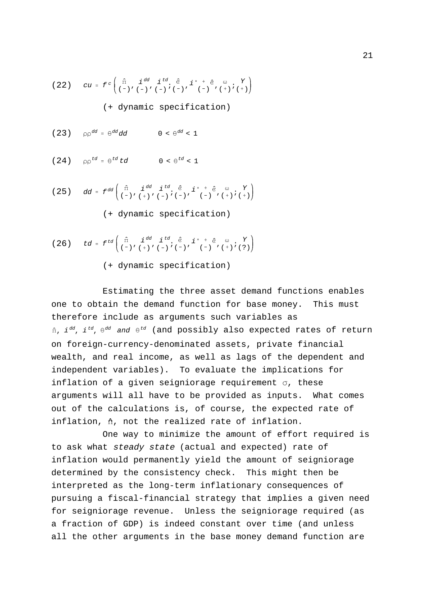(22) 
$$
cu = f^c \begin{pmatrix} \hat{\pi} & i^{dd} & i^{td} & \hat{e} & i^* + e & \omega & Y \\ (-) & (-) & (-) & (-) & (-) & (-) & (-) & (-) & (+) & (+) & (+) \end{pmatrix}
$$
  
(+ dynamic specification)

(23)  $\rho \rho^{dd} =$  $0 < \theta^{dd} < 1$ 

(24)  $\rho \rho^{td} = \theta^{td} t d$   $0 < \theta^{td} < 1$ 

dd <sup>f</sup>dd ˆ% ( ), <sup>i</sup>dd (), <sup>i</sup>td ( ); <sup>ˆ</sup> ( ),<sup>i</sup> ( ) <sup>ˆ</sup>, <sup>7</sup> (); Y () (25) (+ dynamic specification)

$$
(26) \ttd = f^{td} \left( \begin{array}{cc} \hat{\pi} & i^{dd} & i^{td} \\ (-) & (+) & (-) & (-) \end{array} \begin{array}{c} \hat{e} & i^{*} + \hat{e} & \omega & Y \\ (-) & (-) & (-) & (-) \end{array} \right)
$$

(+ dynamic specification)

 $\hat{\pi}$ ,  $i$   $^{dd}$ ,  $i$   $^{td}$ ,  $\theta^{dd}$  and  $\theta^{td}$  (and possibly also expected rates of return Estimating the three asset demand functions enables one to obtain the demand function for base money. This must therefore include as arguments such variables as on foreign-currency-denominated assets, private financial wealth, and real income, as well as lags of the dependent and independent variables). To evaluate the implications for inflation of a given seigniorage requirement  $\sigma$ , these arguments will all have to be provided as inputs. What comes out of the calculations is, of course, the expected rate of inflation,  $\hat{n}$ , not the realized rate of inflation.

One way to minimize the amount of effort required is to ask what steady state (actual and expected) rate of inflation would permanently yield the amount of seigniorage determined by the consistency check. This might then be interpreted as the long-term inflationary consequences of pursuing a fiscal-financial strategy that implies a given need for seigniorage revenue. Unless the seigniorage required (as a fraction of GDP) is indeed constant over time (and unless all the other arguments in the base money demand function are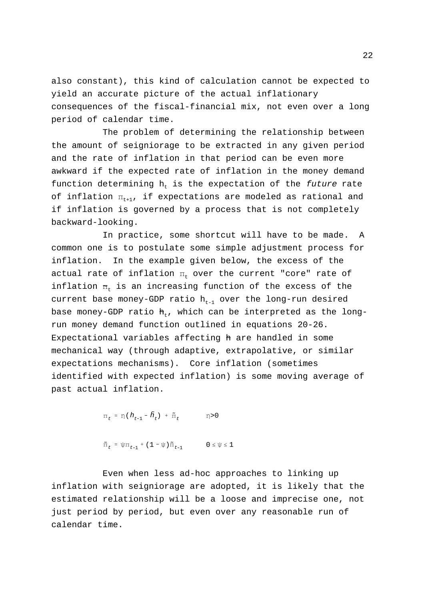also constant), this kind of calculation cannot be expected to yield an accurate picture of the actual inflationary consequences of the fiscal-financial mix, not even over a long period of calendar time.

The problem of determining the relationship between the amount of seigniorage to be extracted in any given period and the rate of inflation in that period can be even more awkward if the expected rate of inflation in the money demand function determining  $h<sub>r</sub>$  is the expectation of the future rate of inflation  $\Pi_{t+1}$ , if expectations are modeled as rational and if inflation is governed by a process that is not completely backward-looking.

In practice, some shortcut will have to be made. A common one is to postulate some simple adjustment process for inflation. In the example given below, the excess of the actual rate of inflation  $\Pi_t$  over the current "core" rate of inflation  $F_{+}$  is an increasing function of the excess of the current base money-GDP ratio  $h_{t-1}$  over the long-run desired base money-GDP ratio  $h_+$ , which can be interpreted as the longrun money demand function outlined in equations 20-26. Expectational variables affecting h are handled in some mechanical way (through adaptive, extrapolative, or similar expectations mechanisms). Core inflation (sometimes identified with expected inflation) is some moving average of past actual inflation.

 $\Pi_t = \eta (h_{t-1} - \tilde{h}_t) + \tilde{\pi}_t$   $\eta > 0$ 

$$
\tilde{\pi}_t = \psi \pi_{t-1} + (1 - \psi) \tilde{\pi}_{t-1} \qquad 0 \leq \psi \leq 1
$$

Even when less ad-hoc approaches to linking up inflation with seigniorage are adopted, it is likely that the estimated relationship will be a loose and imprecise one, not just period by period, but even over any reasonable run of calendar time.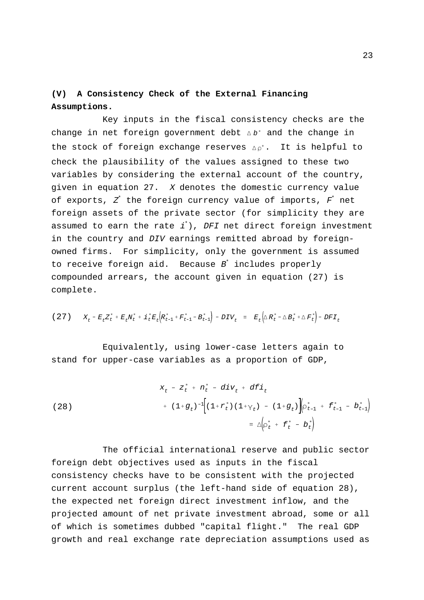## **(V) A Consistency Check of the External Financing Assumptions.**

change in net foreign government debt  $\Delta b^*$  and the change in the stock of foreign exchange reserves  $\Delta \rho^*$ . It is helpful to Key inputs in the fiscal consistency checks are the check the plausibility of the values assigned to these two variables by considering the external account of the country, given in equation 27. X denotes the domestic currency value of exports,  $Z^*$  the foreign currency value of imports,  $F^*$  net foreign assets of the private sector (for simplicity they are assumed to earn the rate  $i^*$ ), DFI net direct foreign investment in the country and DIV earnings remitted abroad by foreignowned firms. For simplicity, only the government is assumed to receive foreign aid. Because  $B^{\dagger}$  includes properly compounded arrears, the account given in equation (27) is complete.

$$
(27) \tXt - EtZt* + EtNt* + it*Et (Rt-1* + Ft-1* - Bt-1*) - DIVt = Et(\Delta Rt* - \Delta Bt* + \Delta Ft*) - DFIt
$$

Equivalently, using lower-case letters again to stand for upper-case variables as a proportion of GDP,

(28)  

$$
x_{t} - z_{t}^{*} + n_{t}^{*} - div_{t} + d\tilde{L}i_{t}
$$

$$
+ (1+g_{t})^{-1} [(1+r_{t}^{*})(1+r_{t}) - (1+g_{t})] (\rho_{t-1}^{*} + f_{t-1}^{*} - b_{t-1}^{*})
$$

$$
\equiv \Delta \left( \rho_{t}^{*} + f_{t}^{*} - b_{t}^{*} \right)
$$

The official international reserve and public sector foreign debt objectives used as inputs in the fiscal consistency checks have to be consistent with the projected current account surplus (the left-hand side of equation 28), the expected net foreign direct investment inflow, and the projected amount of net private investment abroad, some or all of which is sometimes dubbed "capital flight." The real GDP growth and real exchange rate depreciation assumptions used as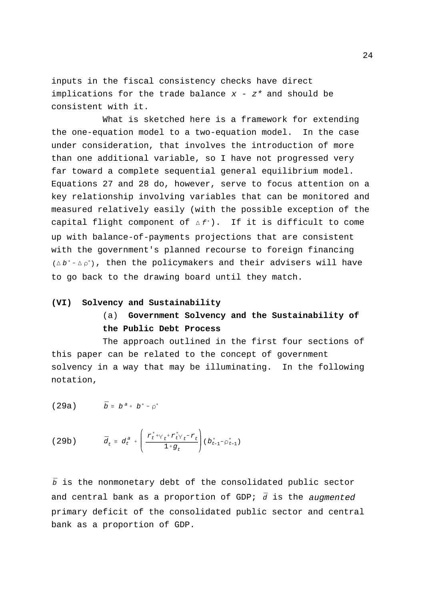inputs in the fiscal consistency checks have direct implications for the trade balance  $x - z^*$  and should be consistent with it.

capital flight component of  $\Delta f^*$ ). If it is difficult to come  $(\Delta b^* - \Delta \rho^*)$ , then the policymakers and their advisers will have What is sketched here is a framework for extending the one-equation model to a two-equation model. In the case under consideration, that involves the introduction of more than one additional variable, so I have not progressed very far toward a complete sequential general equilibrium model. Equations 27 and 28 do, however, serve to focus attention on a key relationship involving variables that can be monitored and measured relatively easily (with the possible exception of the up with balance-of-payments projections that are consistent with the government's planned recourse to foreign financing to go back to the drawing board until they match.

### **(VI) Solvency and Sustainability**

## (a) **Government Solvency and the Sustainability of the Public Debt Process**

The approach outlined in the first four sections of this paper can be related to the concept of government solvency in a way that may be illuminating. In the following notation,

$$
(29a) \qquad \qquad \bar{b} \equiv b^a + b^* - \rho^*
$$

(29b) 
$$
\bar{d}_t = d_t^a + \left(\frac{r_t^* + \gamma_t^* r_t^* \gamma_t - r_t}{1 + g_t}\right) (b_{t-1}^* - \rho_{t-1}^*)
$$

 $\bar{b}$  is the nonmonetary debt of the consolidated public sector and central bank as a proportion of GDP; d is the augmented primary deficit of the consolidated public sector and central bank as a proportion of GDP.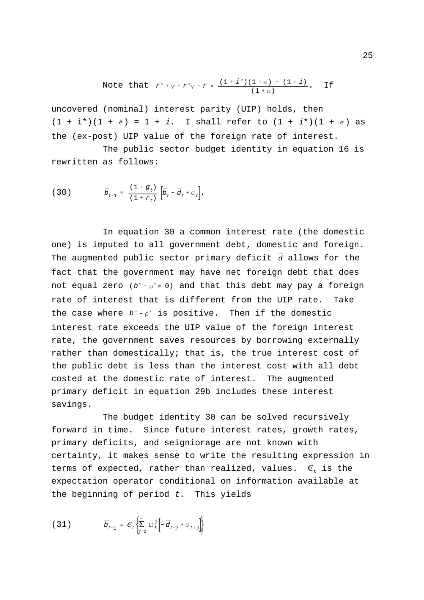Note that 
$$
r^* + \gamma + r^* = \frac{(1 + i^*)(1 + \epsilon) - (1 + i)}{(1 + \pi)}
$$
. If

 $(1 + i<sup>*</sup>)(1 + e) = 1 + i$ . I shall refer to  $(1 + i<sup>*</sup>)(1 + e)$  as uncovered (nominal) interest parity (UIP) holds, then the (ex-post) UIP value of the foreign rate of interest.

The public sector budget identity in equation 16 is rewritten as follows:

(30) 
$$
\bar{D}_{t-1} = \frac{(1+g_t)}{(1+r_t)} \left[ \bar{D}_t - \bar{d}_t + \sigma_t \right].
$$

The augmented public sector primary deficit  $\bar{d}$  allows for the not equal zero  $(b^* - \rho^* \neq 0)$  and that this debt may pay a foreign the case where  $b^*$ - $\rho^*$  is positive. Then if the domestic In equation 30 a common interest rate (the domestic one) is imputed to all government debt, domestic and foreign. fact that the government may have net foreign debt that does rate of interest that is different from the UIP rate. Take interest rate exceeds the UIP value of the foreign interest rate, the government saves resources by borrowing externally rather than domestically; that is, the true interest cost of the public debt is less than the interest cost with all debt costed at the domestic rate of interest. The augmented primary deficit in equation 29b includes these interest savings.

The budget identity 30 can be solved recursively forward in time. Since future interest rates, growth rates, primary deficits, and seigniorage are not known with certainty, it makes sense to write the resulting expression in terms of expected, rather than realized, values.  $\epsilon_t$  is the expectation operator conditional on information available at the beginning of period  $t$ . This yields

$$
(31) \qquad \qquad \bar{b}_{t-1} = \mathcal{C}_t \left\{ \sum_{j=0}^{\infty} \Omega_t^j \left[ -\bar{d}_{t+j} + \sigma_{t+j} \right] \right\}
$$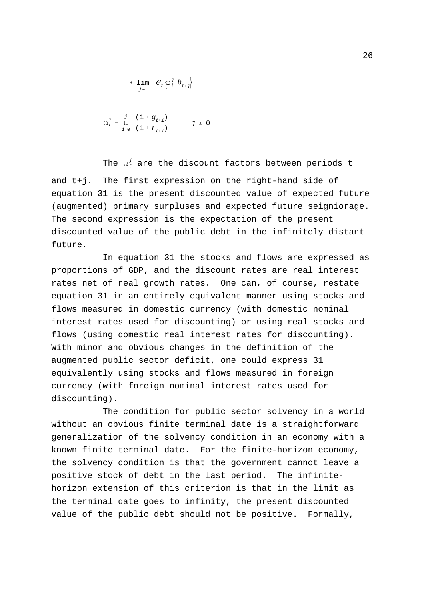$$
+ \lim_{j \to \infty} \quad C_t \left\{ \Omega_t^j \ \bar{D}_{t+j} \right\}
$$

$$
\Omega_{t}^{j} = \prod_{i=0}^{j} \frac{(1+g_{t+i})}{(1+r_{t+i})} \qquad j \geq 0
$$

The  $\Omega_t^j$  are the discount factors between periods t and t+j. The first expression on the right-hand side of equation 31 is the present discounted value of expected future (augmented) primary surpluses and expected future seigniorage. The second expression is the expectation of the present discounted value of the public debt in the infinitely distant future.

In equation 31 the stocks and flows are expressed as proportions of GDP, and the discount rates are real interest rates net of real growth rates. One can, of course, restate equation 31 in an entirely equivalent manner using stocks and flows measured in domestic currency (with domestic nominal interest rates used for discounting) or using real stocks and flows (using domestic real interest rates for discounting). With minor and obvious changes in the definition of the augmented public sector deficit, one could express 31 equivalently using stocks and flows measured in foreign currency (with foreign nominal interest rates used for discounting).

The condition for public sector solvency in a world without an obvious finite terminal date is a straightforward generalization of the solvency condition in an economy with a known finite terminal date. For the finite-horizon economy, the solvency condition is that the government cannot leave a positive stock of debt in the last period. The infinitehorizon extension of this criterion is that in the limit as the terminal date goes to infinity, the present discounted value of the public debt should not be positive. Formally,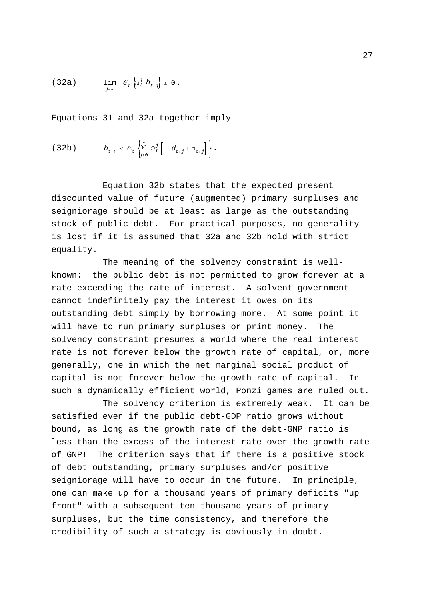$$
(32a) \qquad \lim_{j\to\infty} \quad \mathcal{C}_t \left\{ \Omega_t^j \ \bar{b}_{t+j} \right\} \leq 0 \ .
$$

Equations 31 and 32a together imply

$$
(32b) \t\t\t \bar{b}_{t-1} \leq \mathcal{C}_t \left\{ \sum_{j=0}^{\infty} \Omega_t^j \left[ -\bar{d}_{t+j} + \sigma_{t+j} \right] \right\}.
$$

Equation 32b states that the expected present discounted value of future (augmented) primary surpluses and seigniorage should be at least as large as the outstanding stock of public debt. For practical purposes, no generality is lost if it is assumed that 32a and 32b hold with strict equality.

The meaning of the solvency constraint is wellknown: the public debt is not permitted to grow forever at a rate exceeding the rate of interest. A solvent government cannot indefinitely pay the interest it owes on its outstanding debt simply by borrowing more. At some point it will have to run primary surpluses or print money. The solvency constraint presumes a world where the real interest rate is not forever below the growth rate of capital, or, more generally, one in which the net marginal social product of capital is not forever below the growth rate of capital. In such a dynamically efficient world, Ponzi games are ruled out.

The solvency criterion is extremely weak. It can be satisfied even if the public debt-GDP ratio grows without bound, as long as the growth rate of the debt-GNP ratio is less than the excess of the interest rate over the growth rate of GNP! The criterion says that if there is a positive stock of debt outstanding, primary surpluses and/or positive seigniorage will have to occur in the future. In principle, one can make up for a thousand years of primary deficits "up front" with a subsequent ten thousand years of primary surpluses, but the time consistency, and therefore the credibility of such a strategy is obviously in doubt.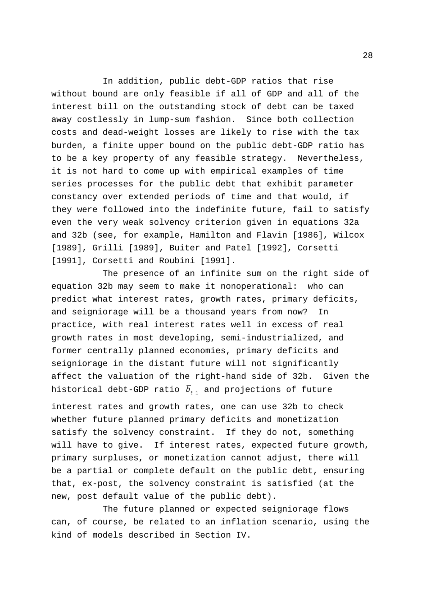In addition, public debt-GDP ratios that rise without bound are only feasible if all of GDP and all of the interest bill on the outstanding stock of debt can be taxed away costlessly in lump-sum fashion. Since both collection costs and dead-weight losses are likely to rise with the tax burden, a finite upper bound on the public debt-GDP ratio has to be a key property of any feasible strategy. Nevertheless, it is not hard to come up with empirical examples of time series processes for the public debt that exhibit parameter constancy over extended periods of time and that would, if they were followed into the indefinite future, fail to satisfy even the very weak solvency criterion given in equations 32a and 32b (see, for example, Hamilton and Flavin [1986], Wilcox [1989], Grilli [1989], Buiter and Patel [1992], Corsetti [1991], Corsetti and Roubini [1991].

historical debt-GDP ratio  $\bar b_{t\text{-}1}$  and projections of future The presence of an infinite sum on the right side of equation 32b may seem to make it nonoperational: who can predict what interest rates, growth rates, primary deficits, and seigniorage will be a thousand years from now? In practice, with real interest rates well in excess of real growth rates in most developing, semi-industrialized, and former centrally planned economies, primary deficits and seigniorage in the distant future will not significantly affect the valuation of the right-hand side of 32b. Given the interest rates and growth rates, one can use 32b to check whether future planned primary deficits and monetization satisfy the solvency constraint. If they do not, something will have to give. If interest rates, expected future growth, primary surpluses, or monetization cannot adjust, there will be a partial or complete default on the public debt, ensuring that, ex-post, the solvency constraint is satisfied (at the new, post default value of the public debt).

The future planned or expected seigniorage flows can, of course, be related to an inflation scenario, using the kind of models described in Section IV.

28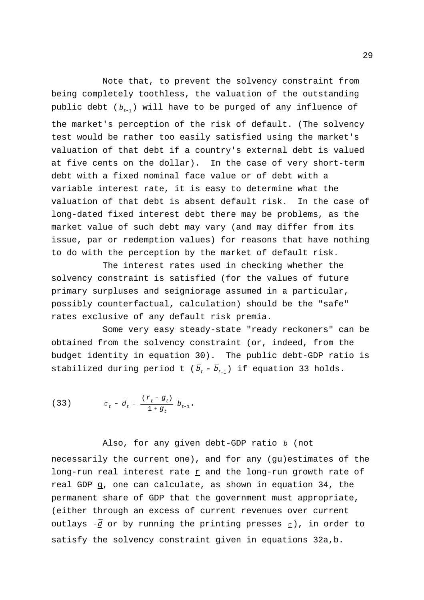public debt ( $\bar{b}_{t-1}$ ) will have to be purged of any influence of Note that, to prevent the solvency constraint from being completely toothless, the valuation of the outstanding the market's perception of the risk of default. (The solvency test would be rather too easily satisfied using the market's valuation of that debt if a country's external debt is valued at five cents on the dollar). In the case of very short-term debt with a fixed nominal face value or of debt with a variable interest rate, it is easy to determine what the valuation of that debt is absent default risk. In the case of long-dated fixed interest debt there may be problems, as the market value of such debt may vary (and may differ from its issue, par or redemption values) for reasons that have nothing to do with the perception by the market of default risk.

The interest rates used in checking whether the solvency constraint is satisfied (for the values of future primary surpluses and seigniorage assumed in a particular, possibly counterfactual, calculation) should be the "safe" rates exclusive of any default risk premia.

stabilized during period t ( $\bar{b}_{t}$  =  $\bar{b}_{t-1}$ ) if equation 33 holds. Some very easy steady-state "ready reckoners" can be obtained from the solvency constraint (or, indeed, from the budget identity in equation 30). The public debt-GDP ratio is

(33) 
$$
\sigma_t - \bar{d}_t = \frac{(r_t - g_t)}{1 + g_t} \bar{b}_{t-1}.
$$

Also, for any given debt-GDP ratio <u>b</u> (not

outlays  $-\bar{d}$  or by running the printing presses  $\underline{\sigma}$ ), in order to necessarily the current one), and for any (gu)estimates of the long-run real interest rate  $r$  and the long-run growth rate of real GDP g, one can calculate, as shown in equation 34, the permanent share of GDP that the government must appropriate, (either through an excess of current revenues over current satisfy the solvency constraint given in equations 32a,b.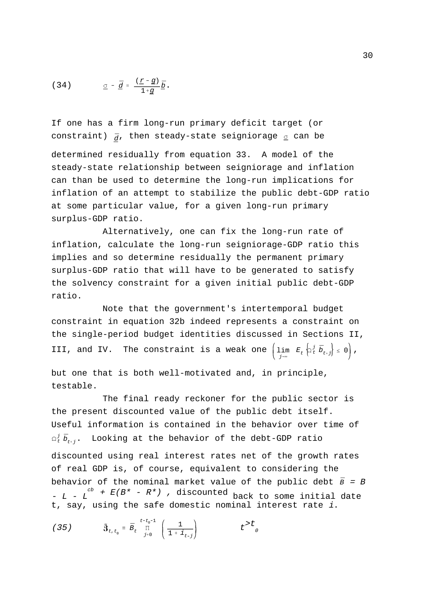$$
(34) \qquad \qquad \underline{\sigma} - \underline{d} = \frac{(\underline{r} - \underline{g})}{1 + \underline{g}} \underline{b} \, .
$$

constraint)  $_{\bar{d}}$ , then steady-state seigniorage  $\sigma$  can be If one has a firm long-run primary deficit target (or

determined residually from equation 33. A model of the steady-state relationship between seigniorage and inflation can than be used to determine the long-run implications for inflation of an attempt to stabilize the public debt-GDP ratio at some particular value, for a given long-run primary surplus-GDP ratio.

Alternatively, one can fix the long-run rate of inflation, calculate the long-run seigniorage-GDP ratio this implies and so determine residually the permanent primary surplus-GDP ratio that will have to be generated to satisfy the solvency constraint for a given initial public debt-GDP ratio.

III, and IV. The constraint is a weak one  $\left(\lim_{j\to\infty}\ E_t\left\|\Omega_t^j\right.\bar{b}_{t+j}\right\|\leq 0\right)$ , Note that the government's intertemporal budget constraint in equation 32b indeed represents a constraint on the single-period budget identities discussed in Sections II,

but one that is both well-motivated and, in principle, testable.

 $\Omega_{t}^{j}\,\bar{b}_{{t}+j}^{\phantom{\dag}}$ . Looking at the behavior of the debt-GDP ratio behavior of the nominal market value of the public debt  $\bar{B}$  = B The final ready reckoner for the public sector is the present discounted value of the public debt itself. Useful information is contained in the behavior over time of discounted using real interest rates net of the growth rates of real GDP is, of course, equivalent to considering the -  $L$  -  $L$ <sup>cb</sup> +  $E(B^* - R^*)$  , discounted back to some initial date t, say, using the safe domestic nominal interest rate i.

(35) 
$$
\mathfrak{F}_{t,t_0} = \bar{B}_t \prod_{j=0}^{t-t_0-1} \left( \frac{1}{1 + i_{t-j}} \right) t^{>t} \delta
$$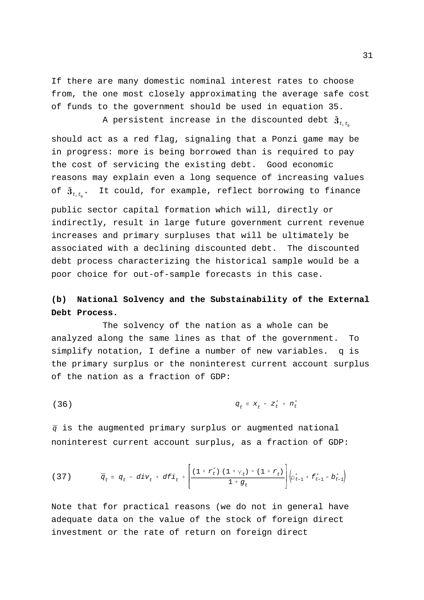If there are many domestic nominal interest rates to choose from, the one most closely approximating the average safe cost of funds to the government should be used in equation 35.

A persistent increase in the discounted debt  $\mathfrak{z}_{\scriptscriptstyle t, t_{\scriptscriptstyle 0}}$ 

of  $\mathfrak{z}_{t,t_0}$ . It could, for example, reflect borrowing to finance should act as a red flag, signaling that a Ponzi game may be in progress: more is being borrowed than is required to pay the cost of servicing the existing debt. Good economic reasons may explain even a long sequence of increasing values

public sector capital formation which will, directly or indirectly, result in large future government current revenue increases and primary surpluses that will be ultimately be associated with a declining discounted debt. The discounted debt process characterizing the historical sample would be a poor choice for out-of-sample forecasts in this case.

## **(b) National Solvency and the Substainability of the External Debt Process.**

The solvency of the nation as a whole can be analyzed along the same lines as that of the government. To simplify notation, I define a number of new variables. q is the primary surplus or the noninterest current account surplus of the nation as a fraction of GDP:

 $q_t \equiv x_t - z_t^* + n_t^*$ (36)

 $\bar{q}$  is the augmented primary surplus or augmented national noninterest current account surplus, as a fraction of GDP:

(37) 
$$
q_{t} = q_{t} - div_{t} + dF i_{t} + \left[ \frac{(1 + r_{t}^{*}) (1 + \gamma_{t}) - (1 + r_{t})}{1 + g_{t}} \right] \left( \rho_{t-1}^{*} + f_{t-1}^{*} - b_{t-1}^{*} \right)
$$

Note that for practical reasons (we do not in general have adequate data on the value of the stock of foreign direct investment or the rate of return on foreign direct

31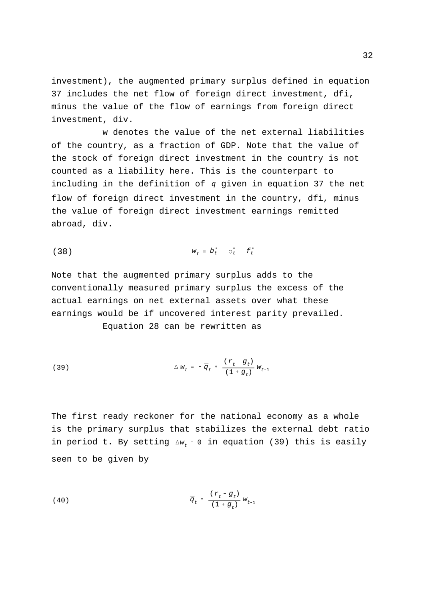investment), the augmented primary surplus defined in equation 37 includes the net flow of foreign direct investment, dfi, minus the value of the flow of earnings from foreign direct investment, div.

including in the definition of  $\bar{q}$  given in equation 37 the net w denotes the value of the net external liabilities of the country, as a fraction of GDP. Note that the value of the stock of foreign direct investment in the country is not counted as a liability here. This is the counterpart to flow of foreign direct investment in the country, dfi, minus the value of foreign direct investment earnings remitted abroad, div.

(38) 
$$
w_t = b_t^* - \rho_t^* - f_t^*
$$

Note that the augmented primary surplus adds to the conventionally measured primary surplus the excess of the actual earnings on net external assets over what these earnings would be if uncovered interest parity prevailed. Equation 28 can be rewritten as

(39) 
$$
\Delta w_{t} = - \bar{q}_{t} + \frac{(r_{t} - g_{t})}{(1 + g_{t})} w_{t-1}
$$

in period t. By setting  $\Delta w_t$  = 0 in equation (39) this is easily The first ready reckoner for the national economy as a whole is the primary surplus that stabilizes the external debt ratio seen to be given by

(40) 
$$
\bar{q}_t = \frac{(r_t - g_t)}{(1 + g_t)} w_{t-1}
$$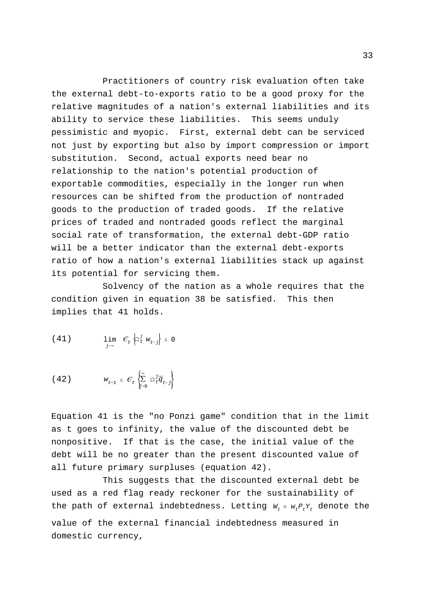Practitioners of country risk evaluation often take the external debt-to-exports ratio to be a good proxy for the relative magnitudes of a nation's external liabilities and its ability to service these liabilities. This seems unduly pessimistic and myopic. First, external debt can be serviced not just by exporting but also by import compression or import substitution. Second, actual exports need bear no relationship to the nation's potential production of exportable commodities, especially in the longer run when resources can be shifted from the production of nontraded goods to the production of traded goods. If the relative prices of traded and nontraded goods reflect the marginal social rate of transformation, the external debt-GDP ratio will be a better indicator than the external debt-exports ratio of how a nation's external liabilities stack up against its potential for servicing them.

Solvency of the nation as a whole requires that the condition given in equation 38 be satisfied. This then implies that 41 holds.

$$
(41) \qquad \lim_{j \to \infty} \quad \mathcal{C}_t \left\{ \Omega_t^j \ w_{t+j} \right\} \leq 0
$$

$$
(42) \t\t w_{t-1} \leq \mathcal{C}_t \left\{ \sum_{j=0}^{\infty} \Omega_t^j \overline{q}_{t+j} \right\}
$$

Equation 41 is the "no Ponzi game" condition that in the limit as t goes to infinity, the value of the discounted debt be nonpositive. If that is the case, the initial value of the debt will be no greater than the present discounted value of all future primary surpluses (equation 42).

the path of external indebtedness. Letting  $W_t = W_t P_t Y_t$  denote the This suggests that the discounted external debt be used as a red flag ready reckoner for the sustainability of value of the external financial indebtedness measured in domestic currency,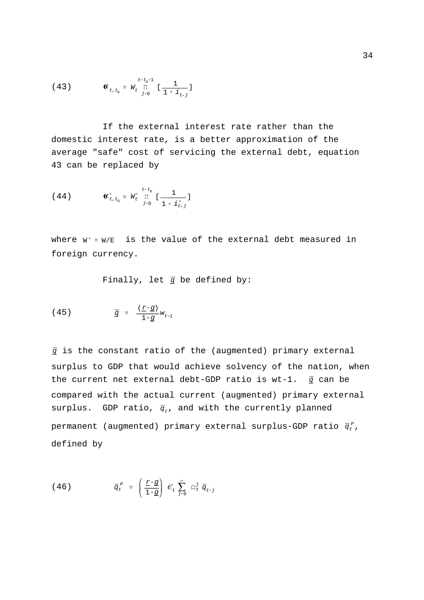(43) 
$$
\mathbf{G}_{t,t_0} = W_t^{\frac{t-t_0-1}{\prod}} \left[ \frac{1}{1 + i_{t-j}} \right]
$$

If the external interest rate rather than the domestic interest rate, is a better approximation of the average "safe" cost of servicing the external debt, equation 43 can be replaced by

(44) 
$$
\mathbf{G}_{t,t_0}^* = W_t^* \prod_{j=0}^{t-t_0} \left[ \frac{1}{1 + \boldsymbol{i}_{t-j}^*} \right]
$$

where  $w^*$   $\equiv$   $w/\text{E}$  is the value of the external debt measured in foreign currency.

Finally, let  $\bar{q}$  be defined by:

$$
(45) \qquad \qquad \bar{q} = \frac{(\underline{r} - g)}{1 + g} w_{t-1}
$$

 $q$  is the constant ratio of the (augmented) primary external the current net external debt-GDP ratio is wt-1.  $q$  can be surplus. GDP ratio,  $\bar{q}_t$ , and with the currently planned permanent (augmented) primary external surplus-GDP ratio  ${\bar q}_t^{\scriptscriptstyle P}$ , surplus to GDP that would achieve solvency of the nation, when compared with the actual current (augmented) primary external defined by

(46) 
$$
\overline{q}_t^P = \left(\frac{\underline{r} - \underline{q}}{1 + \underline{q}}\right) \mathcal{E}_t \sum_{j=0}^{\infty} \Omega_t^j \overline{q}_{t+j}
$$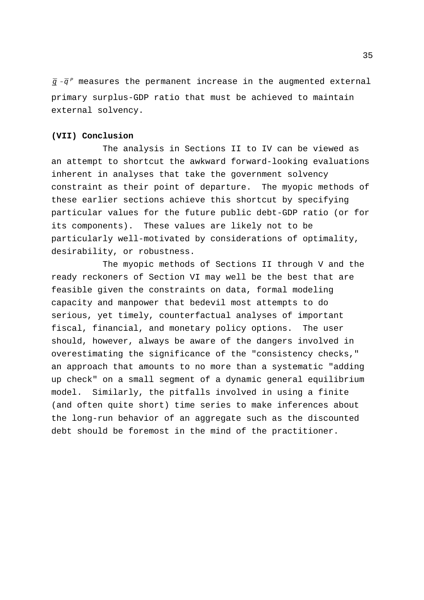$\bar{q}$  - $\bar{q}^{\,p}$  measures the permanent increase in the augmented external primary surplus-GDP ratio that must be achieved to maintain external solvency.

### **(VII) Conclusion**

The analysis in Sections II to IV can be viewed as an attempt to shortcut the awkward forward-looking evaluations inherent in analyses that take the government solvency constraint as their point of departure. The myopic methods of these earlier sections achieve this shortcut by specifying particular values for the future public debt-GDP ratio (or for its components). These values are likely not to be particularly well-motivated by considerations of optimality, desirability, or robustness.

The myopic methods of Sections II through V and the ready reckoners of Section VI may well be the best that are feasible given the constraints on data, formal modeling capacity and manpower that bedevil most attempts to do serious, yet timely, counterfactual analyses of important fiscal, financial, and monetary policy options. The user should, however, always be aware of the dangers involved in overestimating the significance of the "consistency checks," an approach that amounts to no more than a systematic "adding up check" on a small segment of a dynamic general equilibrium model. Similarly, the pitfalls involved in using a finite (and often quite short) time series to make inferences about the long-run behavior of an aggregate such as the discounted debt should be foremost in the mind of the practitioner.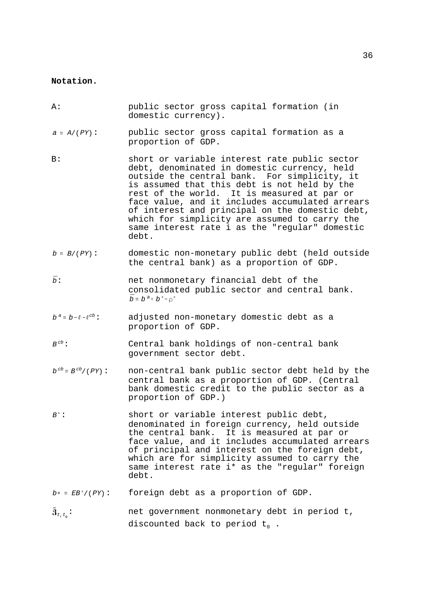### **Notation.**

| Α:                              | public sector gross capital formation (in<br>domestic currency).                                                                                                                                                                                                                                                                                                                                                                                               |
|---------------------------------|----------------------------------------------------------------------------------------------------------------------------------------------------------------------------------------------------------------------------------------------------------------------------------------------------------------------------------------------------------------------------------------------------------------------------------------------------------------|
| $a \equiv A / (PY)$ :           | public sector gross capital formation as a<br>proportion of GDP.                                                                                                                                                                                                                                                                                                                                                                                               |
| B:                              | short or variable interest rate public sector<br>debt, denominated in domestic currency, held<br>outside the central bank. For simplicity, it<br>is assumed that this debt is not held by the<br>rest of the world. It is measured at par or<br>face value, and it includes accumulated arrears<br>of interest and principal on the domestic debt,<br>which for simplicity are assumed to carry the<br>same interest rate i as the "regular" domestic<br>debt. |
| $b = B/(PY)$ :                  | domestic non-monetary public debt (held outside<br>the central bank) as a proportion of GDP.                                                                                                                                                                                                                                                                                                                                                                   |
| $\bar{b}$ :                     | net nonmonetary financial debt of the<br>consolidated public sector and central bank.<br>$\overline{b}$ = $b^a$ + $b^*$ - $\rho^*$                                                                                                                                                                                                                                                                                                                             |
| $b^a \equiv b - l - l^{cb}$ :   | adjusted non-monetary domestic debt as a<br>proportion of GDP.                                                                                                                                                                                                                                                                                                                                                                                                 |
| $B^{cb}$ :                      | Central bank holdings of non-central bank<br>government sector debt.                                                                                                                                                                                                                                                                                                                                                                                           |
| $b^{cb} \equiv B^{cb} / (PY)$ : | non-central bank public sector debt held by the<br>central bank as a proportion of GDP. (Central<br>bank domestic credit to the public sector as a<br>proportion of GDP.)                                                                                                                                                                                                                                                                                      |
| $B^*$ :                         | short or variable interest public debt,<br>denominated in foreign currency, held outside<br>the central bank. It is measured at par or<br>face value, and it includes accumulated arrears<br>of principal and interest on the foreign debt,<br>which are for simplicity assumed to carry the<br>same interest rate i* as the "regular" foreign<br>debt.                                                                                                        |
| $b*$ = $EB^*/(PY)$ :            | foreign debt as a proportion of GDP.                                                                                                                                                                                                                                                                                                                                                                                                                           |

 $\mathfrak{F}_{\iota,\,\iota_{_0}}\colon$ net government nonmonetary debt in period t, discounted back to period  $t_0$  .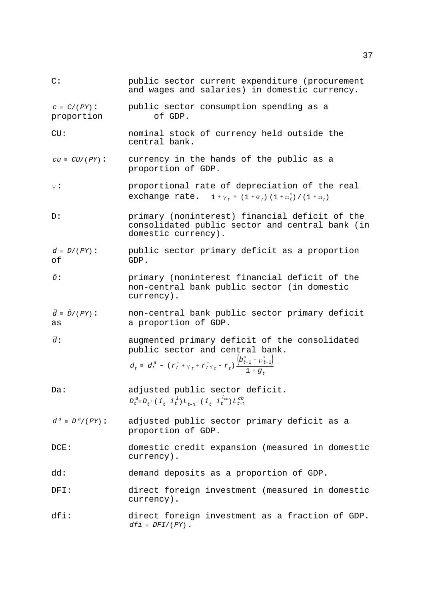$C \equiv C/(PY)$  $cu \equiv CU / (PY)$  $\vee$ :  $\frac{1}{\sqrt{1 + \frac{1}{\tau}}}\sum_{t=1}^{T}$  (1+ $\epsilon_t$ ) (1+ $\pi_t^*$ ) /(1+ $\pi_t$ )  $d \equiv D/(PY)$  $\tilde{D}$ :  $\tilde{d} = \tilde{D}/(PY)$ :  $\bar{d}$ :  $\bar{d}_t = d_t^a - (r_t^* + v_t^* + r_t^* v_t - r_t)$  $b_{t-1}^* - \rho_{t-1}^*$  $\frac{1+g_t}{1+g_t}$  $D_{t}^{\ a}\!\equiv\!D_{t}^{\ +}(\ i_{t}^{\ -}i_{t}^{\ l})\,L_{t-1}^{\ -}(\ i_{t}^{\ -}i_{t}^{\ l_{cb}})\,L_{t-1}^{\ c b}$  $d^a \equiv D^a / (PY)$  $dfi = DFI/(PY)$ C: public sector current expenditure (procurement and wages and salaries) in domestic currency. public sector consumption spending as a proportion of GDP. CU: nominal stock of currency held outside the central bank. currency in the hands of the public as a proportion of GDP. : proportional rate of depreciation of the real D: primary (noninterest) financial deficit of the consolidated public sector and central bank (in domestic currency). public sector primary deficit as a proportion of GDP. : primary (noninterest financial deficit of the non-central bank public sector (in domestic currency). : non-central bank public sector primary deficit as a proportion of GDP. augmented primary deficit of the consolidated public sector and central bank. Da: adjusted public sector deficit. adjusted public sector primary deficit as a proportion of GDP. DCE: domestic credit expansion (measured in domestic currency). dd: demand deposits as a proportion of GDP. DFI: direct foreign investment (measured in domestic currency). dfi: direct foreign investment as a fraction of GDP. .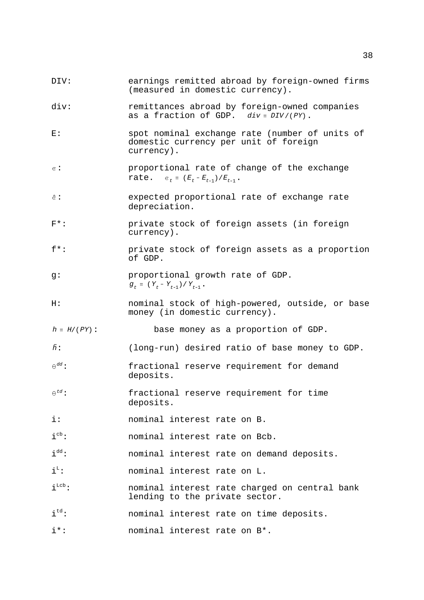- DIV: earnings remitted abroad by foreign-owned firms (measured in domestic currency).
- as a fraction of GDP.  $div = DIV/(PY)$ . div: remittances abroad by foreign-owned companies
- E: spot nominal exchange rate (number of units of domestic currency per unit of foreign currency).
- $\epsilon$ :  $\texttt{rate.} \quad \varepsilon_t = (E_t - E_{t-1})/E_{t-1}$ . proportional rate of change of the exchange
- $\hat{a}$ : expected proportional rate of exchange rate depreciation.
- F\*: private stock of foreign assets (in foreign currency).
- f\*: private stock of foreign assets as a proportion of GDP.
- $g_t \equiv (Y_t Y_{t-1})/Y_{t-1}$ . g: proportional growth rate of GDP.
- H: nominal stock of high-powered, outside, or base money (in domestic currency).
- $h \equiv H/(PY)$ base money as a proportion of GDP.
- $\tilde{h}$ : : (long-run) desired ratio of base money to GDP.
- $A^{dd}$ : fractional reserve requirement for demand deposits.
- $\theta^{td}$ : : fractional reserve requirement for time deposits.
- i: nominal interest rate on B.
- $i^{cb}$ : nominal interest rate on Bcb.
- $i<sup>dd</sup>$ : nominal interest rate on demand deposits.
- $i<sup>L</sup>$ : nominal interest rate on L.
- i<sup>Lcb</sup>: nominal interest rate charged on central bank lending to the private sector.
- i<sup>td</sup>: nominal interest rate on time deposits.
- i\*: nominal interest rate on B\*.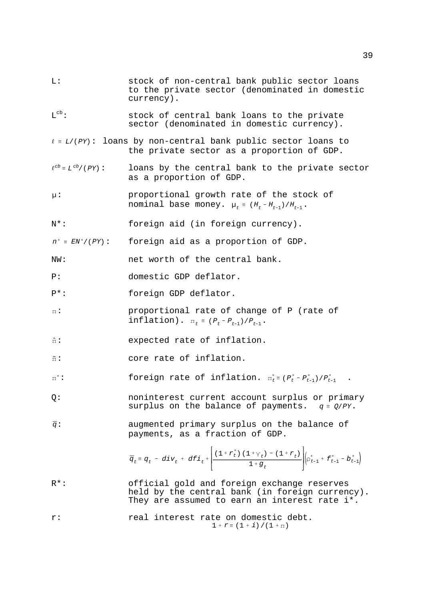| L:                                 | stock of non-central bank public sector loans<br>to the private sector (denominated in domestic<br>currency).                                                                                                  |
|------------------------------------|----------------------------------------------------------------------------------------------------------------------------------------------------------------------------------------------------------------|
| $L_{cp}$ :                         | stock of central bank loans to the private<br>sector (denominated in domestic currency).                                                                                                                       |
|                                    | $l = L/(PY)$ : loans by non-central bank public sector loans to<br>the private sector as a proportion of GDP.                                                                                                  |
| $\ell^{cb} \equiv L^{cb} / (PY)$ : | loans by the central bank to the private sector<br>as a proportion of GDP.                                                                                                                                     |
| $\mu$ :                            | proportional growth rate of the stock of<br>nominal base money. $\mu_t = (H_t - H_{t-1})/H_{t-1}$ .                                                                                                            |
| N*:                                | foreign aid (in foreign currency).                                                                                                                                                                             |
| $n^*$ = $EN^*/(PY)$ :              | foreign aid as a proportion of GDP.                                                                                                                                                                            |
| NW:                                | net worth of the central bank.                                                                                                                                                                                 |
| P:                                 | domestic GDP deflator.                                                                                                                                                                                         |
| $P^*$ :                            | foreign GDP deflator.                                                                                                                                                                                          |
| $\mathbb{I}$ :                     | proportional rate of change of P (rate of<br>inflation). $\Pi_t = (P_t - P_{t-1})/P_{t-1}$ .                                                                                                                   |
| $\hat{\Pi}$ :                      | expected rate of inflation.                                                                                                                                                                                    |
| $\tilde{\pi}$ :                    | core rate of inflation.                                                                                                                                                                                        |
| $\pi^*$ :                          | foreign rate of inflation. $\pi_t^* = (P_t^* - P_{t-1}^*)/P_{t-1}^*$ .                                                                                                                                         |
| Q:                                 | noninterest current account surplus or primary<br>surplus on the balance of payments. $q = Q/PY$ .                                                                                                             |
| $\bar{q}$ :                        | augmented primary surplus on the balance of<br>payments, as a fraction of GDP.                                                                                                                                 |
|                                    | $\bar{q}_t \equiv q_t \; - \; div_t \; + \; d f \dot{1}_t \; + \left  \frac{(1 + r_t^*) \; (1 + \gamma_t) \; - \; (1 + r_t)}{1 + g_t} \right  \left( \rho_{t-1}^* \; + \; f_{t-1}^* \; - \; b_{t-1}^* \right)$ |
| $R^{\star}$ :                      | official gold and foreign exchange reserves<br>held by the central bank (in foreign currency).<br>They are assumed to earn an interest rate i*.                                                                |
| r:                                 | real interest rate on domestic debt.<br>$1 + r = (1 + i) / (1 + \pi)$                                                                                                                                          |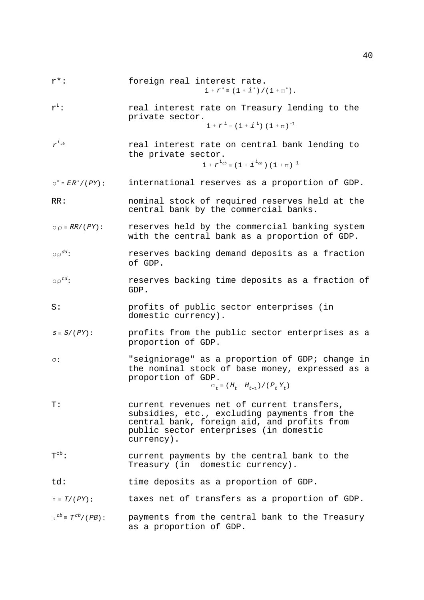- $1 + r^* \equiv (1 + i^*) / (1 + \pi^*)$ . r\*: foreign real interest rate.
- $1 + r^L \equiv (1 + i^L) (1 + \pi)^{-1}$  $r^L$ : real interest rate on Treasury lending to the private sector.
- $r^{L_{cb}}$  $1 + r^{L_{cb}} = (1 + i^{L_{cb}})(1 + \pi)^{-1}$ real interest rate on central bank lending to the private sector.
- $\rho^*$  =  $ER^*/(PY)$  : international reserves as a proportion of GDP.
- RR: nominal stock of required reserves held at the central bank by the commercial banks.
- $\rho \rho \equiv RR/(PY):$ reserves held by the commercial banking system with the central bank as a proportion of GDP.
- $\circ$   $\circ$ <sup>dd</sup>: reserves backing demand deposits as a fraction of GDP.
- $\rho \rho^{td}$ : reserves backing time deposits as a fraction of GDP.
- S: profits of public sector enterprises (in domestic currency).
- $s \equiv S/\left(\,PY\right):$ profits from the public sector enterprises as a proportion of GDP.
- $\sigma$ :  $\sigma_t \equiv$  (  $H_t$  –  $H_{t-1}$  ) / (  $P_{t}$   $Y_{t}$  ) "seigniorage" as a proportion of GDP; change in the nominal stock of base money, expressed as a proportion of GDP.

- T: current revenues net of current transfers, subsidies, etc., excluding payments from the central bank, foreign aid, and profits from public sector enterprises (in domestic currency).
- $T^{cb}$ : current payments by the central bank to the Treasury (in domestic currency).
- td: time deposits as a proportion of GDP.
- $\tau \equiv T/(\,PY):$ taxes net of transfers as a proportion of GDP.
- $\tau^{cb} \equiv T^{cb}/(PB)$ : payments from the central bank to the Treasury as a proportion of GDP.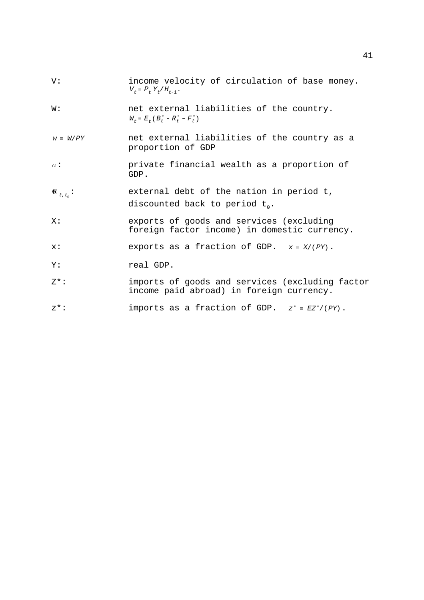| V:                         | income velocity of circulation of base money.<br>$V_t \equiv P_t Y_t / H_{t-1}$ .           |
|----------------------------|---------------------------------------------------------------------------------------------|
| W:                         | net external liabilities of the country.<br>$W_t \equiv E_t (B_t^* - R_t^* - F_t^*)$        |
| $w \equiv W/PY$            | net external liabilities of the country as a<br>proportion of GDP                           |
| $\omega$ :                 | private financial wealth as a proportion of<br>GDP.                                         |
| $\mathfrak{C}_{t,t_{0}}$ : | external debt of the nation in period t,<br>discounted back to period $t_0$ .               |
| X:                         | exports of goods and services (excluding<br>foreign factor income) in domestic currency.    |
| x:                         | exports as a fraction of GDP. $x = X/(PY)$ .                                                |
| Υ:                         | real GDP.                                                                                   |
| $7*$ :                     | imports of goods and services (excluding factor<br>income paid abroad) in foreign currency. |
| $Z^{\star}$ :              | imports as a fraction of GDP. $z^* = EZ^*/(PY)$ .                                           |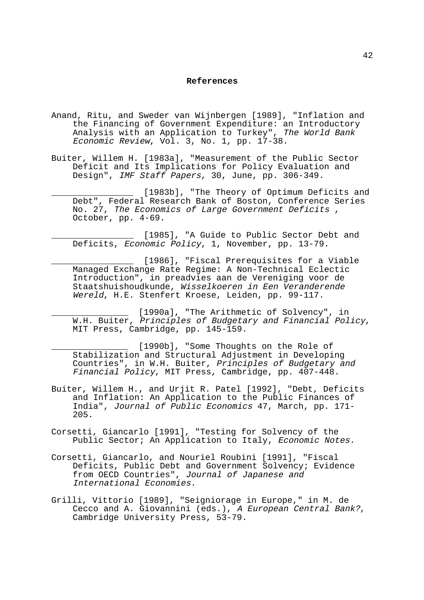#### **References**

- Anand, Ritu, and Sweder van Wijnbergen [1989], "Inflation and the Financing of Government Expenditure: an Introductory Analysis with an Application to Turkey", The World Bank Economic Review, Vol. 3, No. 1, pp. 17-38.
- Buiter, Willem H. [1983a], "Measurement of the Public Sector Deficit and Its Implications for Policy Evaluation and Design", IMF Staff Papers, 30, June, pp. 306-349.
	- [1983b], "The Theory of Optimum Deficits and Debt", Federal Research Bank of Boston, Conference Series No. 27, The Economics of Large Government Deficits , October, pp. 4-69.

[1985], "A Guide to Public Sector Debt and Deficits, Economic Policy, 1, November, pp. 13-79.

[1986], "Fiscal Prerequisites for a Viable Managed Exchange Rate Regime: A Non-Technical Eclectic Introduction", in preadvies aan de Vereniging voor de Staatshuishoudkunde, Wisselkoeren in Een Veranderende Wereld, H.E. Stenfert Kroese, Leiden, pp. 99-117.

\_\_\_\_\_\_\_\_\_\_\_\_\_\_\_ [1990a], "The Arithmetic of Solvency", in W.H. Buiter, Principles of Budgetary and Financial Policy, MIT Press, Cambridge, pp. 145-159.

[1990b], "Some Thoughts on the Role of Stabilization and Structural Adjustment in Developing Countries", in W.H. Buiter, Principles of Budgetary and Financial Policy, MIT Press, Cambridge, pp. 407-448.

- Buiter, Willem H., and Urjit R. Patel [1992], "Debt, Deficits and Inflation: An Application to the Public Finances of India", Journal of Public Economics 47, March, pp. 171- 205.
- Corsetti, Giancarlo [1991], "Testing for Solvency of the Public Sector; An Application to Italy, Economic Notes.
- Corsetti, Giancarlo, and Nouriel Roubini [1991], "Fiscal Deficits, Public Debt and Government Solvency; Evidence from OECD Countries", Journal of Japanese and International Economies.
- Grilli, Vittorio [1989], "Seigniorage in Europe," in M. de Cecco and A. Giovannini (eds.), A European Central Bank?, Cambridge University Press, 53-79.